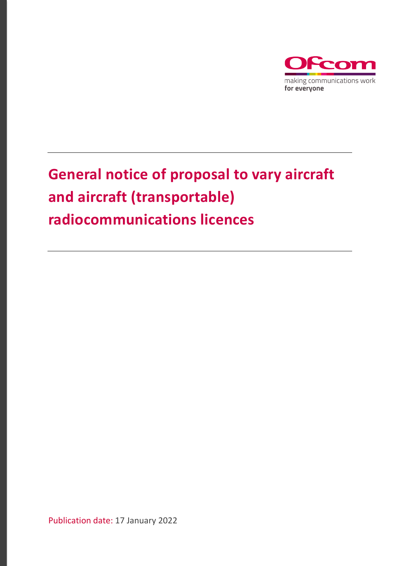

# **General notice of proposal to vary aircraft and aircraft (transportable) radiocommunications licences**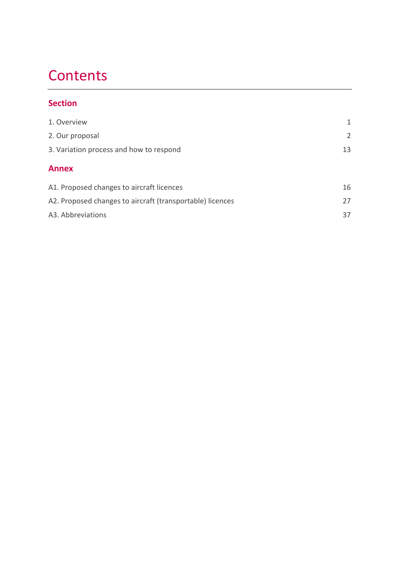# **Contents**

### **Section**

| 1. Overview                                               | 1              |
|-----------------------------------------------------------|----------------|
| 2. Our proposal                                           | $\overline{2}$ |
| 3. Variation process and how to respond                   | 13             |
| <b>Annex</b>                                              |                |
| A1. Proposed changes to aircraft licences                 | 16             |
| A2. Proposed changes to aircraft (transportable) licences | 27             |
| A3. Abbreviations                                         | 37             |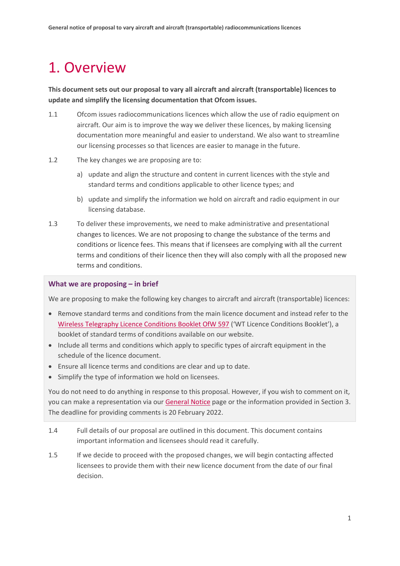# <span id="page-2-0"></span>1. Overview

**This document sets out our proposal to vary all aircraft and aircraft (transportable) licences to update and simplify the licensing documentation that Ofcom issues.** 

- 1.1 Ofcom issues radiocommunications licences which allow the use of radio equipment on aircraft. Our aim is to improve the way we deliver these licences, by making licensing documentation more meaningful and easier to understand. We also want to streamline our licensing processes so that licences are easier to manage in the future.
- 1.2 The key changes we are proposing are to:
	- a) update and align the structure and content in current licences with the style and standard terms and conditions applicable to other licence types; and
	- b) update and simplify the information we hold on aircraft and radio equipment in our licensing database.
- 1.3 To deliver these improvements, we need to make administrative and presentational changes to licences. We are not proposing to change the substance of the terms and conditions or licence fees. This means that if licensees are complying with all the current terms and conditions of their licence then they will also comply with all the proposed new terms and conditions.

#### **What we are proposing – in brief**

We are proposing to make the following key changes to aircraft and aircraft (transportable) licences:

- Remove standard terms and conditions from the main licence document and instead refer to the [Wireless Telegraphy Licence Conditions Booklet OfW 597](https://www.ofcom.org.uk/__data/assets/pdf_file/0016/214117/emf-glc-licence-conditions-booklet.pdf) ('WT Licence Conditions Booklet'), a booklet of standard terms of conditions available on our website.
- Include all terms and conditions which apply to specific types of aircraft equipment in the schedule of the licence document.
- Ensure all licence terms and conditions are clear and up to date.
- Simplify the type of information we hold on licensees.

You do not need to do anything in response to this proposal. However, if you wish to comment on it, you can make a representation via our [General Notice](https://www.ofcom.org.uk/manage-your-licence/radiocommunication-licences/aeronautical-licensing/general-notice) page or the information provided in Section 3. The deadline for providing comments is 20 February 2022.

- 1.4 Full details of our proposal are outlined in this document. This document contains important information and licensees should read it carefully.
- 1.5 If we decide to proceed with the proposed changes, we will begin contacting affected licensees to provide them with their new licence document from the date of our final decision.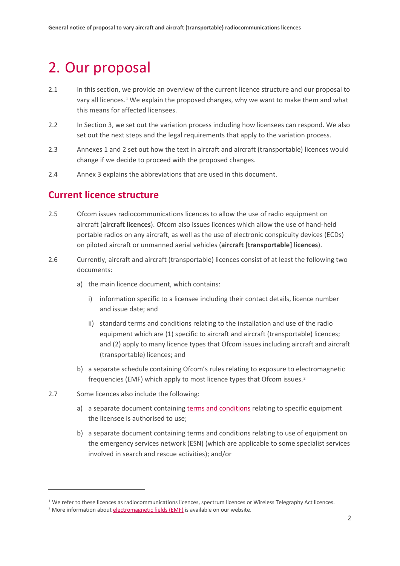# <span id="page-3-0"></span>2. Our proposal

- 2.1 In this section, we provide an overview of the current licence structure and our proposal to vary all licences.[1](#page-3-1) We explain the proposed changes, why we want to make them and what this means for affected licensees.
- 2.2 In Section 3, we set out the variation process including how licensees can respond. We also set out the next steps and the legal requirements that apply to the variation process.
- 2.3 Annexes 1 and 2 set out how the text in aircraft and aircraft (transportable) licences would change if we decide to proceed with the proposed changes.
- 2.4 Annex 3 explains the abbreviations that are used in this document.

#### **Current licence structure**

- 2.5 Ofcom issues radiocommunications licences to allow the use of radio equipment on aircraft (**aircraft licences**). Ofcom also issues licences which allow the use of hand-held portable radios on any aircraft, as well as the use of electronic conspicuity devices (ECDs) on piloted aircraft or unmanned aerial vehicles (**aircraft [transportable] licences**).
- 2.6 Currently, aircraft and aircraft (transportable) licences consist of at least the following two documents:
	- a) the main licence document, which contains:
		- i) information specific to a licensee including their contact details, licence number and issue date; and
		- ii) standard terms and conditions relating to the installation and use of the radio equipment which are (1) specific to aircraft and aircraft (transportable) licences; and (2) apply to many licence types that Ofcom issues including aircraft and aircraft (transportable) licences; and
	- b) a separate schedule containing Ofcom's rules relating to exposure to electromagnetic frequencies (EMF) which apply to most licence types that Ofcom issues.<sup>[2](#page-3-2)</sup>
- 2.7 Some licences also include the following:
	- a) a separate document containin[g terms and conditions](https://www.ofcom.org.uk/__data/assets/pdf_file/0015/140082/aircraft-radio-licence-equipment-terms-conditions.pdf) relating to specific equipment the licensee is authorised to use;
	- b) a separate document containing terms and conditions relating to use of equipment on the emergency services network (ESN) (which are applicable to some specialist services involved in search and rescue activities); and/or

<span id="page-3-1"></span><sup>&</sup>lt;sup>1</sup> We refer to these licences as radiocommunications licences, spectrum licences or Wireless Telegraphy Act licences.

<span id="page-3-2"></span><sup>&</sup>lt;sup>2</sup> More information abou[t electromagnetic fields \(EMF\)](https://www.ofcom.org.uk/manage-your-licence/emf) is available on our website.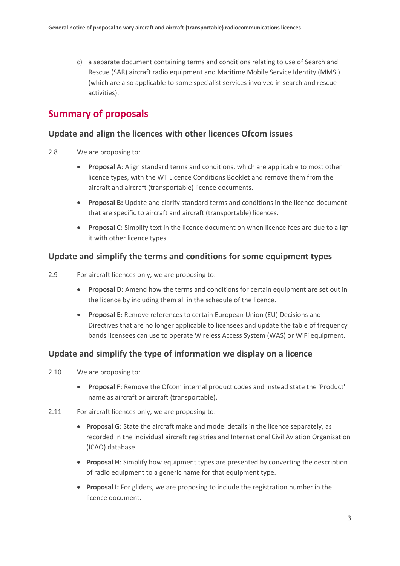c) a separate document containing terms and conditions relating to use of Search and Rescue (SAR) aircraft radio equipment and Maritime Mobile Service Identity (MMSI) (which are also applicable to some specialist services involved in search and rescue activities).

### **Summary of proposals**

#### **Update and align the licences with other licences Ofcom issues**

- 2.8 We are proposing to:
	- **Proposal A**: Align standard terms and conditions, which are applicable to most other licence types, with the WT Licence Conditions Booklet and remove them from the aircraft and aircraft (transportable) licence documents.
	- **Proposal B:** Update and clarify standard terms and conditions in the licence document that are specific to aircraft and aircraft (transportable) licences.
	- **Proposal C**: Simplify text in the licence document on when licence fees are due to align it with other licence types.

#### **Update and simplify the terms and conditions for some equipment types**

- 2.9 For aircraft licences only, we are proposing to:
	- **Proposal D:** Amend how the terms and conditions for certain equipment are set out in the licence by including them all in the schedule of the licence.
	- **Proposal E:** Remove references to certain European Union (EU) Decisions and Directives that are no longer applicable to licensees and update the table of frequency bands licensees can use to operate Wireless Access System (WAS) or WiFi equipment.

#### **Update and simplify the type of information we display on a licence**

- 2.10 We are proposing to:
	- **Proposal F**: Remove the Ofcom internal product codes and instead state the 'Product' name as aircraft or aircraft (transportable).
- 2.11 For aircraft licences only, we are proposing to:
	- **Proposal G**: State the aircraft make and model details in the licence separately, as recorded in the individual aircraft registries and International Civil Aviation Organisation (ICAO) database.
	- **Proposal H**: Simplify how equipment types are presented by converting the description of radio equipment to a generic name for that equipment type.
	- **Proposal I:** For gliders, we are proposing to include the registration number in the licence document.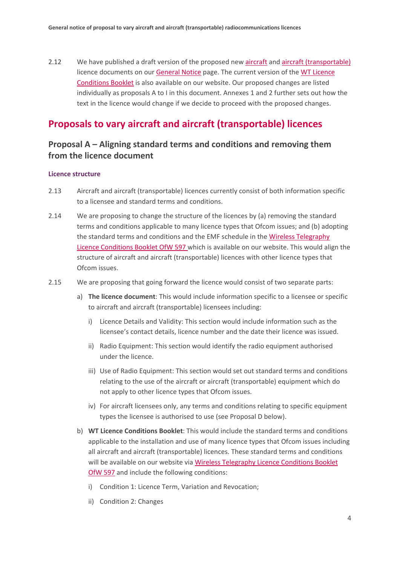2.12 We have published a draft version of the proposed new [aircraft](https://www.ofcom.org.uk/__data/assets/pdf_file/0023/230648/sample-licence-aircraft.pdf) and [aircraft \(transportable\)](https://www.ofcom.org.uk/__data/assets/pdf_file/0024/230649/sample-licence-aircraft-transportable.pdf) licence documents on ou[r General Notice](https://www.ofcom.org.uk/manage-your-licence/radiocommunication-licences/aeronautical-licensing/general-notice) page. The current version of the [WT Licence](https://www.ofcom.org.uk/__data/assets/pdf_file/0016/214117/emf-glc-licence-conditions-booklet.pdf)  [Conditions Booklet](https://www.ofcom.org.uk/__data/assets/pdf_file/0016/214117/emf-glc-licence-conditions-booklet.pdf) is also available on our website. Our proposed changes are listed individually as proposals A to I in this document. Annexes 1 and 2 further sets out how the text in the licence would change if we decide to proceed with the proposed changes.

#### **Proposals to vary aircraft and aircraft (transportable) licences**

#### **Proposal A – Aligning standard terms and conditions and removing them from the licence document**

#### **Licence structure**

- 2.13 Aircraft and aircraft (transportable) licences currently consist of both information specific to a licensee and standard terms and conditions.
- 2.14 We are proposing to change the structure of the licences by (a) removing the standard terms and conditions applicable to many licence types that Ofcom issues; and (b) adopting the standard terms and conditions and the EMF schedule in th[e Wireless Telegraphy](https://www.ofcom.org.uk/__data/assets/pdf_file/0016/214117/emf-glc-licence-conditions-booklet.pdf)  [Licence Conditions Booklet OfW 597](https://www.ofcom.org.uk/__data/assets/pdf_file/0016/214117/emf-glc-licence-conditions-booklet.pdf) which is available on our website. This would align the structure of aircraft and aircraft (transportable) licences with other licence types that Ofcom issues.
- 2.15 We are proposing that going forward the licence would consist of two separate parts:
	- a) **The licence document**: This would include information specific to a licensee or specific to aircraft and aircraft (transportable) licensees including:
		- i) Licence Details and Validity: This section would include information such as the licensee's contact details, licence number and the date their licence was issued.
		- ii) Radio Equipment: This section would identify the radio equipment authorised under the licence.
		- iii) Use of Radio Equipment: This section would set out standard terms and conditions relating to the use of the aircraft or aircraft (transportable) equipment which do not apply to other licence types that Ofcom issues.
		- iv) For aircraft licensees only, any terms and conditions relating to specific equipment types the licensee is authorised to use (see Proposal D below).
	- b) **WT Licence Conditions Booklet**: This would include the standard terms and conditions applicable to the installation and use of many licence types that Ofcom issues including all aircraft and aircraft (transportable) licences. These standard terms and conditions will be available on our website via [Wireless Telegraphy Licence Conditions Booklet](https://www.ofcom.org.uk/__data/assets/pdf_file/0016/214117/emf-glc-licence-conditions-booklet.pdf)  [OfW 597](https://www.ofcom.org.uk/__data/assets/pdf_file/0016/214117/emf-glc-licence-conditions-booklet.pdf) and include the following conditions:
		- i) Condition 1: Licence Term, Variation and Revocation;
		- ii) Condition 2: Changes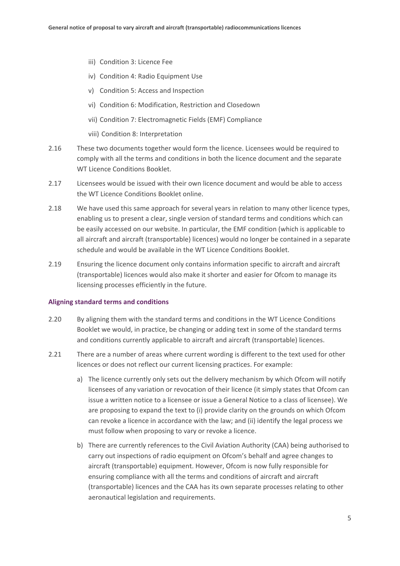- iii) Condition 3: Licence Fee
- iv) Condition 4: Radio Equipment Use
- v) Condition 5: Access and Inspection
- vi) Condition 6: Modification, Restriction and Closedown
- vii) Condition 7: Electromagnetic Fields (EMF) Compliance
- viii) Condition 8: Interpretation
- 2.16 These two documents together would form the licence. Licensees would be required to comply with all the terms and conditions in both the licence document and the separate WT Licence Conditions Booklet.
- 2.17 Licensees would be issued with their own licence document and would be able to access the WT Licence Conditions Booklet online.
- 2.18 We have used this same approach for several years in relation to many other licence types, enabling us to present a clear, single version of standard terms and conditions which can be easily accessed on our website. In particular, the EMF condition (which is applicable to all aircraft and aircraft (transportable) licences) would no longer be contained in a separate schedule and would be available in the WT Licence Conditions Booklet.
- 2.19 Ensuring the licence document only contains information specific to aircraft and aircraft (transportable) licences would also make it shorter and easier for Ofcom to manage its licensing processes efficiently in the future.

#### **Aligning standard terms and conditions**

- 2.20 By aligning them with the standard terms and conditions in the WT Licence Conditions Booklet we would, in practice, be changing or adding text in some of the standard terms and conditions currently applicable to aircraft and aircraft (transportable) licences.
- 2.21 There are a number of areas where current wording is different to the text used for other licences or does not reflect our current licensing practices. For example:
	- a) The licence currently only sets out the delivery mechanism by which Ofcom will notify licensees of any variation or revocation of their licence (it simply states that Ofcom can issue a written notice to a licensee or issue a General Notice to a class of licensee). We are proposing to expand the text to (i) provide clarity on the grounds on which Ofcom can revoke a licence in accordance with the law; and (ii) identify the legal process we must follow when proposing to vary or revoke a licence.
	- b) There are currently references to the Civil Aviation Authority (CAA) being authorised to carry out inspections of radio equipment on Ofcom's behalf and agree changes to aircraft (transportable) equipment. However, Ofcom is now fully responsible for ensuring compliance with all the terms and conditions of aircraft and aircraft (transportable) licences and the CAA has its own separate processes relating to other aeronautical legislation and requirements.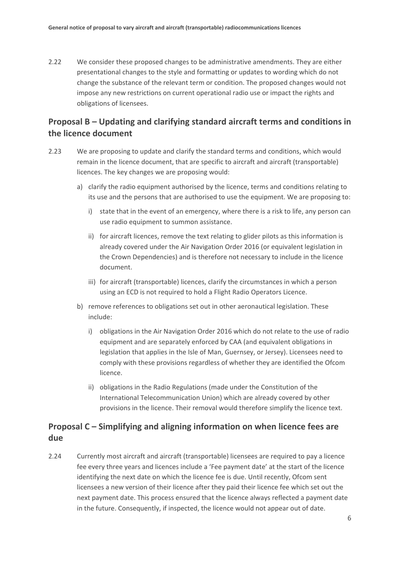2.22 We consider these proposed changes to be administrative amendments. They are either presentational changes to the style and formatting or updates to wording which do not change the substance of the relevant term or condition. The proposed changes would not impose any new restrictions on current operational radio use or impact the rights and obligations of licensees.

### **Proposal B – Updating and clarifying standard aircraft terms and conditions in the licence document**

- 2.23 We are proposing to update and clarify the standard terms and conditions, which would remain in the licence document, that are specific to aircraft and aircraft (transportable) licences. The key changes we are proposing would:
	- a) clarify the radio equipment authorised by the licence, terms and conditions relating to its use and the persons that are authorised to use the equipment. We are proposing to:
		- i) state that in the event of an emergency, where there is a risk to life, any person can use radio equipment to summon assistance.
		- ii) for aircraft licences, remove the text relating to glider pilots as this information is already covered under the Air Navigation Order 2016 (or equivalent legislation in the Crown Dependencies) and is therefore not necessary to include in the licence document.
		- iii) for aircraft (transportable) licences, clarify the circumstances in which a person using an ECD is not required to hold a Flight Radio Operators Licence.
	- b) remove references to obligations set out in other aeronautical legislation. These include:
		- i) obligations in the Air Navigation Order 2016 which do not relate to the use of radio equipment and are separately enforced by CAA (and equivalent obligations in legislation that applies in the Isle of Man, Guernsey, or Jersey). Licensees need to comply with these provisions regardless of whether they are identified the Ofcom licence.
		- ii) obligations in the Radio Regulations (made under the Constitution of the International Telecommunication Union) which are already covered by other provisions in the licence. Their removal would therefore simplify the licence text.

### **Proposal C – Simplifying and aligning information on when licence fees are due**

2.24 Currently most aircraft and aircraft (transportable) licensees are required to pay a licence fee every three years and licences include a 'Fee payment date' at the start of the licence identifying the next date on which the licence fee is due. Until recently, Ofcom sent licensees a new version of their licence after they paid their licence fee which set out the next payment date. This process ensured that the licence always reflected a payment date in the future. Consequently, if inspected, the licence would not appear out of date.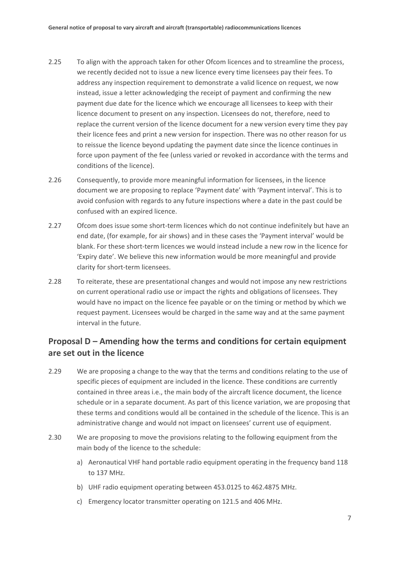- 2.25 To align with the approach taken for other Ofcom licences and to streamline the process, we recently decided not to issue a new licence every time licensees pay their fees. To address any inspection requirement to demonstrate a valid licence on request, we now instead, issue a letter acknowledging the receipt of payment and confirming the new payment due date for the licence which we encourage all licensees to keep with their licence document to present on any inspection. Licensees do not, therefore, need to replace the current version of the licence document for a new version every time they pay their licence fees and print a new version for inspection. There was no other reason for us to reissue the licence beyond updating the payment date since the licence continues in force upon payment of the fee (unless varied or revoked in accordance with the terms and conditions of the licence).
- 2.26 Consequently, to provide more meaningful information for licensees, in the licence document we are proposing to replace 'Payment date' with 'Payment interval'. This is to avoid confusion with regards to any future inspections where a date in the past could be confused with an expired licence.
- 2.27 Ofcom does issue some short-term licences which do not continue indefinitely but have an end date, (for example, for air shows) and in these cases the 'Payment interval' would be blank. For these short-term licences we would instead include a new row in the licence for 'Expiry date'. We believe this new information would be more meaningful and provide clarity for short-term licensees.
- 2.28 To reiterate, these are presentational changes and would not impose any new restrictions on current operational radio use or impact the rights and obligations of licensees. They would have no impact on the licence fee payable or on the timing or method by which we request payment. Licensees would be charged in the same way and at the same payment interval in the future.

#### **Proposal D – Amending how the terms and conditions for certain equipment are set out in the licence**

- 2.29 We are proposing a change to the way that the terms and conditions relating to the use of specific pieces of equipment are included in the licence. These conditions are currently contained in three areas i.e., the main body of the aircraft licence document, the licence schedule or in a separate document. As part of this licence variation, we are proposing that these terms and conditions would all be contained in the schedule of the licence. This is an administrative change and would not impact on licensees' current use of equipment.
- 2.30 We are proposing to move the provisions relating to the following equipment from the main body of the licence to the schedule:
	- a) Aeronautical VHF hand portable radio equipment operating in the frequency band 118 to 137 MHz.
	- b) UHF radio equipment operating between 453.0125 to 462.4875 MHz.
	- c) Emergency locator transmitter operating on 121.5 and 406 MHz.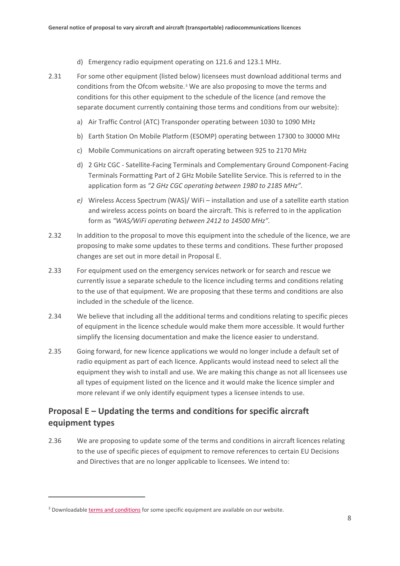- d) Emergency radio equipment operating on 121.6 and 123.1 MHz.
- 2.31 For some other equipment (listed below) licensees must download additional terms and conditions from the Ofcom website.<sup>[3](#page-9-0)</sup> We are also proposing to move the terms and conditions for this other equipment to the schedule of the licence (and remove the separate document currently containing those terms and conditions from our website):
	- a) Air Traffic Control (ATC) Transponder operating between 1030 to 1090 MHz
	- b) Earth Station On Mobile Platform (ESOMP) operating between 17300 to 30000 MHz
	- c) Mobile Communications on aircraft operating between 925 to 2170 MHz
	- d) 2 GHz CGC Satellite-Facing Terminals and Complementary Ground Component-Facing Terminals Formatting Part of 2 GHz Mobile Satellite Service. This is referred to in the application form as *"2 GHz CGC operating between 1980 to 2185 MHz".*
	- *e)* Wireless Access Spectrum (WAS)/ WiFi installation and use of a satellite earth station and wireless access points on board the aircraft. This is referred to in the application form as *"WAS/WiFi operating between 2412 to 14500 MHz".*
- 2.32 In addition to the proposal to move this equipment into the schedule of the licence, we are proposing to make some updates to these terms and conditions. These further proposed changes are set out in more detail in Proposal E.
- 2.33 For equipment used on the emergency services network or for search and rescue we currently issue a separate schedule to the licence including terms and conditions relating to the use of that equipment. We are proposing that these terms and conditions are also included in the schedule of the licence.
- 2.34 We believe that including all the additional terms and conditions relating to specific pieces of equipment in the licence schedule would make them more accessible. It would further simplify the licensing documentation and make the licence easier to understand.
- 2.35 Going forward, for new licence applications we would no longer include a default set of radio equipment as part of each licence. Applicants would instead need to select all the equipment they wish to install and use. We are making this change as not all licensees use all types of equipment listed on the licence and it would make the licence simpler and more relevant if we only identify equipment types a licensee intends to use.

#### **Proposal E – Updating the terms and conditions for specific aircraft equipment types**

2.36 We are proposing to update some of the terms and conditions in aircraft licences relating to the use of specific pieces of equipment to remove references to certain EU Decisions and Directives that are no longer applicable to licensees. We intend to:

<span id="page-9-0"></span><sup>&</sup>lt;sup>3</sup> Downloadable [terms and conditions](https://www.ofcom.org.uk/__data/assets/pdf_file/0015/140082/aircraft-radio-licence-equipment-terms-conditions.pdf) for some specific equipment are available on our website.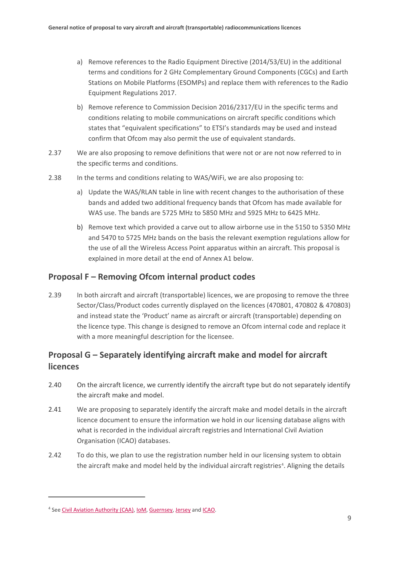- a) Remove references to the Radio Equipment Directive (2014/53/EU) in the additional terms and conditions for 2 GHz Complementary Ground Components (CGCs) and Earth Stations on Mobile Platforms (ESOMPs) and replace them with references to the Radio Equipment Regulations 2017.
- b) Remove reference to Commission Decision 2016/2317/EU in the specific terms and conditions relating to mobile communications on aircraft specific conditions which states that "equivalent specifications" to ETSI's standards may be used and instead confirm that Ofcom may also permit the use of equivalent standards.
- 2.37 We are also proposing to remove definitions that were not or are not now referred to in the specific terms and conditions.
- 2.38 In the terms and conditions relating to WAS/WiFi, we are also proposing to:
	- a) Update the WAS/RLAN table in line with recent changes to the authorisation of these bands and added two additional frequency bands that Ofcom has made available for WAS use. The bands are 5725 MHz to 5850 MHz and 5925 MHz to 6425 MHz.
	- b) Remove text which provided a carve out to allow airborne use in the 5150 to 5350 MHz and 5470 to 5725 MHz bands on the basis the relevant exemption regulations allow for the use of all the Wireless Access Point apparatus within an aircraft. This proposal is explained in more detail at the end of Annex A1 below.

#### **Proposal F – Removing Ofcom internal product codes**

2.39 In both aircraft and aircraft (transportable) licences, we are proposing to remove the three Sector/Class/Product codes currently displayed on the licences (470801, 470802 & 470803) and instead state the 'Product' name as aircraft or aircraft (transportable) depending on the licence type. This change is designed to remove an Ofcom internal code and replace it with a more meaningful description for the licensee.

### **Proposal G – Separately identifying aircraft make and model for aircraft licences**

- 2.40 On the aircraft licence, we currently identify the aircraft type but do not separately identify the aircraft make and model.
- 2.41 We are proposing to separately identify the aircraft make and model details in the aircraft licence document to ensure the information we hold in our licensing database aligns with what is recorded in the individual aircraft registries and International Civil Aviation Organisation (ICAO) databases.
- 2.42 To do this, we plan to use the registration number held in our licensing system to obtain the aircraft make and model held by the individual aircraft registries<sup>[4](#page-10-0)</sup>. Aligning the details

<span id="page-10-0"></span><sup>4</sup> Se[e Civil Aviation Authority \(CAA\),](https://siteapps.caa.co.uk/g-info/) [IoM,](https://www.iomaircraftregistry.com/about-us/registered-aircraft/) [Guernsey,](https://www.2-reg.com/legislation/register/) [Jersey](https://www.gov.je/Travel/MaritimeAviation/CivilAviation/pages/jerseyaircraftregistry.aspx) an[d ICAO.](http://www.intlaviationstandards.org/apex/f?p=240:1)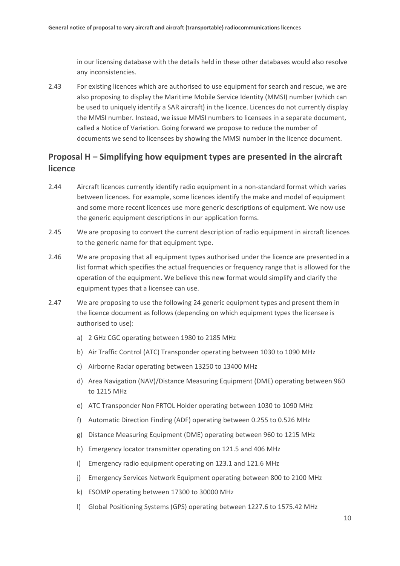in our licensing database with the details held in these other databases would also resolve any inconsistencies.

2.43 For existing licences which are authorised to use equipment for search and rescue, we are also proposing to display the Maritime Mobile Service Identity (MMSI) number (which can be used to uniquely identify a SAR aircraft) in the licence. Licences do not currently display the MMSI number. Instead, we issue MMSI numbers to licensees in a separate document, called a Notice of Variation. Going forward we propose to reduce the number of documents we send to licensees by showing the MMSI number in the licence document.

#### **Proposal H – Simplifying how equipment types are presented in the aircraft licence**

- 2.44 Aircraft licences currently identify radio equipment in a non-standard format which varies between licences. For example, some licences identify the make and model of equipment and some more recent licences use more generic descriptions of equipment. We now use the generic equipment descriptions in our application forms.
- 2.45 We are proposing to convert the current description of radio equipment in aircraft licences to the generic name for that equipment type.
- 2.46 We are proposing that all equipment types authorised under the licence are presented in a list format which specifies the actual frequencies or frequency range that is allowed for the operation of the equipment. We believe this new format would simplify and clarify the equipment types that a licensee can use.
- 2.47 We are proposing to use the following 24 generic equipment types and present them in the licence document as follows (depending on which equipment types the licensee is authorised to use):
	- a) 2 GHz CGC operating between 1980 to 2185 MHz
	- b) Air Traffic Control (ATC) Transponder operating between 1030 to 1090 MHz
	- c) Airborne Radar operating between 13250 to 13400 MHz
	- d) Area Navigation (NAV)/Distance Measuring Equipment (DME) operating between 960 to 1215 MHz
	- e) ATC Transponder Non FRTOL Holder operating between 1030 to 1090 MHz
	- f) Automatic Direction Finding (ADF) operating between 0.255 to 0.526 MHz
	- g) Distance Measuring Equipment (DME) operating between 960 to 1215 MHz
	- h) Emergency locator transmitter operating on 121.5 and 406 MHz
	- i) Emergency radio equipment operating on 123.1 and 121.6 MHz
	- j) Emergency Services Network Equipment operating between 800 to 2100 MHz
	- k) ESOMP operating between 17300 to 30000 MHz
	- l) Global Positioning Systems (GPS) operating between 1227.6 to 1575.42 MHz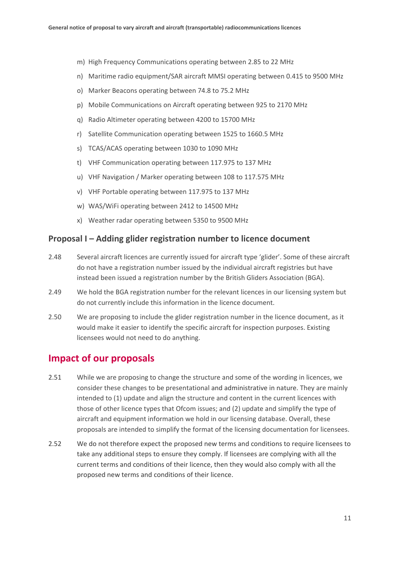- m) High Frequency Communications operating between 2.85 to 22 MHz
- n) Maritime radio equipment/SAR aircraft MMSI operating between 0.415 to 9500 MHz
- o) Marker Beacons operating between 74.8 to 75.2 MHz
- p) Mobile Communications on Aircraft operating between 925 to 2170 MHz
- q) Radio Altimeter operating between 4200 to 15700 MHz
- r) Satellite Communication operating between 1525 to 1660.5 MHz
- s) TCAS/ACAS operating between 1030 to 1090 MHz
- t) VHF Communication operating between 117.975 to 137 MHz
- u) VHF Navigation / Marker operating between 108 to 117.575 MHz
- v) VHF Portable operating between 117.975 to 137 MHz
- w) WAS/WiFi operating between 2412 to 14500 MHz
- x) Weather radar operating between 5350 to 9500 MHz

#### **Proposal I – Adding glider registration number to licence document**

- 2.48 Several aircraft licences are currently issued for aircraft type 'glider'. Some of these aircraft do not have a registration number issued by the individual aircraft registries but have instead been issued a registration number by the British Gliders Association (BGA).
- 2.49 We hold the BGA registration number for the relevant licences in our licensing system but do not currently include this information in the licence document.
- 2.50 We are proposing to include the glider registration number in the licence document, as it would make it easier to identify the specific aircraft for inspection purposes. Existing licensees would not need to do anything.

### **Impact of our proposals**

- 2.51 While we are proposing to change the structure and some of the wording in licences, we consider these changes to be presentational and administrative in nature. They are mainly intended to (1) update and align the structure and content in the current licences with those of other licence types that Ofcom issues; and (2) update and simplify the type of aircraft and equipment information we hold in our licensing database. Overall, these proposals are intended to simplify the format of the licensing documentation for licensees.
- 2.52 We do not therefore expect the proposed new terms and conditions to require licensees to take any additional steps to ensure they comply. If licensees are complying with all the current terms and conditions of their licence, then they would also comply with all the proposed new terms and conditions of their licence.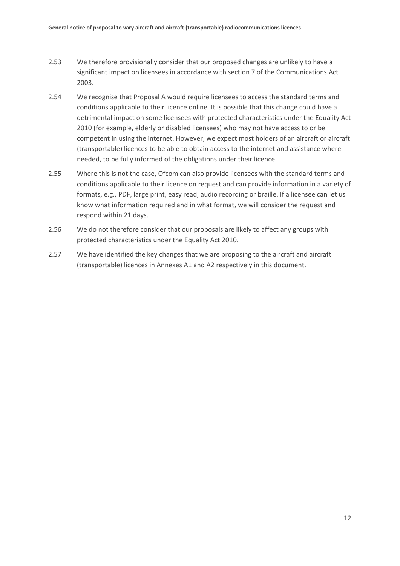- 2.53 We therefore provisionally consider that our proposed changes are unlikely to have a significant impact on licensees in accordance with section 7 of the Communications Act 2003.
- 2.54 We recognise that Proposal A would require licensees to access the standard terms and conditions applicable to their licence online. It is possible that this change could have a detrimental impact on some licensees with protected characteristics under the Equality Act 2010 (for example, elderly or disabled licensees) who may not have access to or be competent in using the internet. However, we expect most holders of an aircraft or aircraft (transportable) licences to be able to obtain access to the internet and assistance where needed, to be fully informed of the obligations under their licence.
- 2.55 Where this is not the case, Ofcom can also provide licensees with the standard terms and conditions applicable to their licence on request and can provide information in a variety of formats, e.g., PDF, large print, easy read, audio recording or braille. If a licensee can let us know what information required and in what format, we will consider the request and respond within 21 days.
- 2.56 We do not therefore consider that our proposals are likely to affect any groups with protected characteristics under the Equality Act 2010.
- 2.57 We have identified the key changes that we are proposing to the aircraft and aircraft (transportable) licences in Annexes A1 and A2 respectively in this document.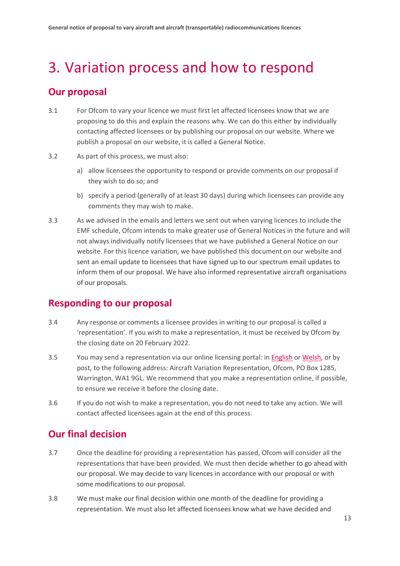# <span id="page-14-0"></span>3. Variation process and how to respond

### **Our proposal**

- 3.1 For Ofcom to vary your licence we must first let affected licensees know that we are proposing to do this and explain the reasons why. We can do this either by individually contacting affected licensees or by publishing our proposal on our website. Where we publish a proposal on our website, it is called a General Notice.
- 3.2 As part of this process, we must also:
	- a) allow licensees the opportunity to respond or provide comments on our proposal if they wish to do so; and
	- b) specify a period (generally of at least 30 days) during which licensees can provide any comments they may wish to make.
- 3.3 As we advised in the emails and letters we sent out when varying licences to include the EMF schedule, Ofcom intends to make greater use of General Notices in the future and will not always individually notify licensees that we have published a General Notice on our website. For this licence variation, we have published this document on our website and sent an email update to licensees that have signed up to our spectrum email updates to inform them of our proposal. We have also informed representative aircraft organisations of our proposals.

#### **Responding to our proposal**

- 3.4 Any response or comments a licensee provides in writing to our proposal is called a 'representation'. If you wish to make a representation, it must be received by Ofcom by the closing date on 20 February 2022.
- 3.5 You may send a representation via our online licensing portal: in [English](https://ofcomforms.secure.force.com/formentry/SitesFormLPELicenceVariationEnquiry?lang=cy) or [Welsh,](https://ofcomforms.secure.force.com/formentry/SitesFormLPELicenceVariationEnquiry?lang=cy) or by post, to the following address: Aircraft Variation Representation, Ofcom, PO Box 1285, Warrington, WA1 9GL. We recommend that you make a representation online, if possible, to ensure we receive it before the closing date.
- 3.6 If you do not wish to make a representation, you do not need to take any action. We will contact affected licensees again at the end of this process.

### **Our final decision**

- 3.7 Once the deadline for providing a representation has passed, Ofcom will consider all the representations that have been provided. We must then decide whether to go ahead with our proposal. We may decide to vary licences in accordance with our proposal or with some modifications to our proposal.
- 3.8 We must make our final decision within one month of the deadline for providing a representation. We must also let affected licensees know what we have decided and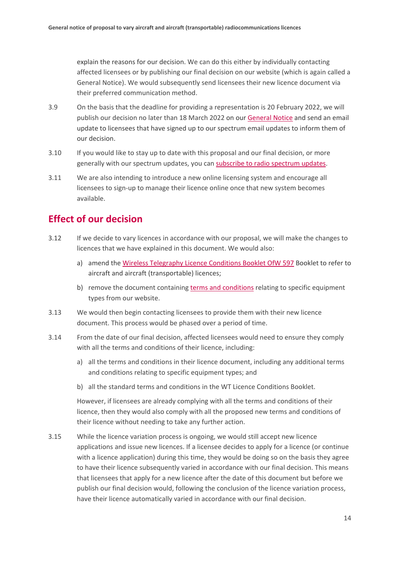explain the reasons for our decision. We can do this either by individually contacting affected licensees or by publishing our final decision on our website (which is again called a General Notice). We would subsequently send licensees their new licence document via their preferred communication method.

- 3.9 On the basis that the deadline for providing a representation is 20 February 2022, we will publish our decision no later than 18 March 2022 on our [General Notice](https://www.ofcom.org.uk/manage-your-licence/radiocommunication-licences/aeronautical-licensing/general-notice) and send an email update to licensees that have signed up to our spectrum email updates to inform them of our decision.
- 3.10 If you would like to stay up to date with this proposal and our final decision, or more generally with our spectrum updates, you can [subscribe to radio spectrum updates.](https://www.ofcom.org.uk/about-ofcom/latest/email-updates)
- 3.11 We are also intending to introduce a new online licensing system and encourage all licensees to sign-up to manage their licence online once that new system becomes available.

## **Effect of our decision**

- 3.12 If we decide to vary licences in accordance with our proposal, we will make the changes to licences that we have explained in this document. We would also:
	- a) amend the [Wireless Telegraphy Licence Conditions Booklet OfW 597](https://www.ofcom.org.uk/__data/assets/pdf_file/0016/214117/emf-glc-licence-conditions-booklet.pdf) Booklet to refer to aircraft and aircraft (transportable) licences;
	- b) remove the document containing [terms and conditions](https://www.ofcom.org.uk/__data/assets/pdf_file/0015/140082/aircraft-radio-licence-equipment-terms-conditions.pdf) relating to specific equipment types from our website.
- 3.13 We would then begin contacting licensees to provide them with their new licence document. This process would be phased over a period of time.
- 3.14 From the date of our final decision, affected licensees would need to ensure they comply with all the terms and conditions of their licence, including:
	- a) all the terms and conditions in their licence document, including any additional terms and conditions relating to specific equipment types; and
	- b) all the standard terms and conditions in the WT Licence Conditions Booklet.

However, if licensees are already complying with all the terms and conditions of their licence, then they would also comply with all the proposed new terms and conditions of their licence without needing to take any further action.

3.15 While the licence variation process is ongoing, we would still accept new licence applications and issue new licences. If a licensee decides to apply for a licence (or continue with a licence application) during this time, they would be doing so on the basis they agree to have their licence subsequently varied in accordance with our final decision. This means that licensees that apply for a new licence after the date of this document but before we publish our final decision would, following the conclusion of the licence variation process, have their licence automatically varied in accordance with our final decision.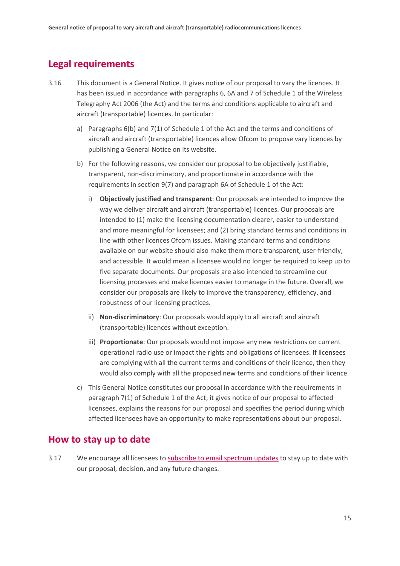### **Legal requirements**

- 3.16 This document is a General Notice. It gives notice of our proposal to vary the licences. It has been issued in accordance with paragraphs 6, 6A and 7 of Schedule 1 of the Wireless Telegraphy Act 2006 (the Act) and the terms and conditions applicable to aircraft and aircraft (transportable) licences. In particular:
	- a) Paragraphs 6(b) and 7(1) of Schedule 1 of the Act and the terms and conditions of aircraft and aircraft (transportable) licences allow Ofcom to propose vary licences by publishing a General Notice on its website.
	- b) For the following reasons, we consider our proposal to be objectively justifiable, transparent, non-discriminatory, and proportionate in accordance with the requirements in section 9(7) and paragraph 6A of Schedule 1 of the Act:
		- i) **Objectively justified and transparent**: Our proposals are intended to improve the way we deliver aircraft and aircraft (transportable) licences. Our proposals are intended to (1) make the licensing documentation clearer, easier to understand and more meaningful for licensees; and (2) bring standard terms and conditions in line with other licences Ofcom issues. Making standard terms and conditions available on our website should also make them more transparent, user-friendly, and accessible. It would mean a licensee would no longer be required to keep up to five separate documents. Our proposals are also intended to streamline our licensing processes and make licences easier to manage in the future. Overall, we consider our proposals are likely to improve the transparency, efficiency, and robustness of our licensing practices.
		- ii) **Non-discriminatory**: Our proposals would apply to all aircraft and aircraft (transportable) licences without exception.
		- iii) **Proportionate**: Our proposals would not impose any new restrictions on current operational radio use or impact the rights and obligations of licensees. If licensees are complying with all the current terms and conditions of their licence, then they would also comply with all the proposed new terms and conditions of their licence.
	- c) This General Notice constitutes our proposal in accordance with the requirements in paragraph 7(1) of Schedule 1 of the Act; it gives notice of our proposal to affected licensees, explains the reasons for our proposal and specifies the period during which affected licensees have an opportunity to make representations about our proposal.

#### **How to stay up to date**

3.17 We encourage all licensees to [subscribe to email spectrum updates](https://www.ofcom.org.uk/about-ofcom/latest/email-updates) to stay up to date with our proposal, decision, and any future changes.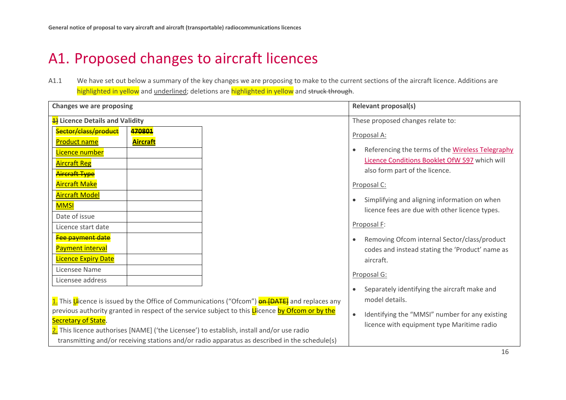# A1. Proposed changes to aircraft licences

A1.1 We have set out below a summary of the key changes we are proposing to make to the current sections of the aircraft licence. Additions are highlighted in yellow and underlined; deletions are highlighted in yellow and struck through.

<span id="page-17-0"></span>

| <b>Changes we are proposing</b> |                 |                                                                                                          | <b>Relevant proposal(s)</b>                                   |
|---------------------------------|-----------------|----------------------------------------------------------------------------------------------------------|---------------------------------------------------------------|
| 4) Licence Details and Validity |                 |                                                                                                          | These proposed changes relate to:                             |
| Sector/class/product            | 470801          |                                                                                                          | Proposal A:                                                   |
| <b>Product name</b>             | <b>Aircraft</b> |                                                                                                          |                                                               |
| Licence number                  |                 |                                                                                                          | Referencing the terms of the Wireless Telegraphy<br>$\bullet$ |
| <b>Aircraft Reg</b>             |                 |                                                                                                          | Licence Conditions Booklet OfW 597 which will                 |
| <mark>Aircraft Type</mark>      |                 |                                                                                                          | also form part of the licence.                                |
| <b>Aircraft Make</b>            |                 |                                                                                                          | Proposal C:                                                   |
| <b>Aircraft Model</b>           |                 |                                                                                                          | Simplifying and aligning information on when<br>$\bullet$     |
| <b>MMSI</b>                     |                 |                                                                                                          | licence fees are due with other licence types.                |
| Date of issue                   |                 |                                                                                                          |                                                               |
| Licence start date              |                 |                                                                                                          | Proposal F:                                                   |
| Fee payment date                |                 |                                                                                                          | Removing Ofcom internal Sector/class/product<br>$\bullet$     |
| <b>Payment interval</b>         |                 |                                                                                                          | codes and instead stating the 'Product' name as               |
| <b>Licence Expiry Date</b>      |                 |                                                                                                          | aircraft.                                                     |
| Licensee Name                   |                 |                                                                                                          | Proposal G:                                                   |
| Licensee address                |                 |                                                                                                          |                                                               |
|                                 |                 |                                                                                                          | Separately identifying the aircraft make and<br>$\bullet$     |
|                                 |                 | 1. This Licence is issued by the Office of Communications ("Ofcom") <b>on [DATE</b> ] and replaces any   | model details.                                                |
|                                 |                 | previous authority granted in respect of the service subject to this <b>L</b> licence by Ofcom or by the | Identifying the "MMSI" number for any existing<br>$\bullet$   |
| Secretary of State.             |                 |                                                                                                          | licence with equipment type Maritime radio                    |
|                                 |                 | 2. This licence authorises [NAME] ('the Licensee') to establish, install and/or use radio                |                                                               |
|                                 |                 | transmitting and/or receiving stations and/or radio apparatus as described in the schedule(s)            |                                                               |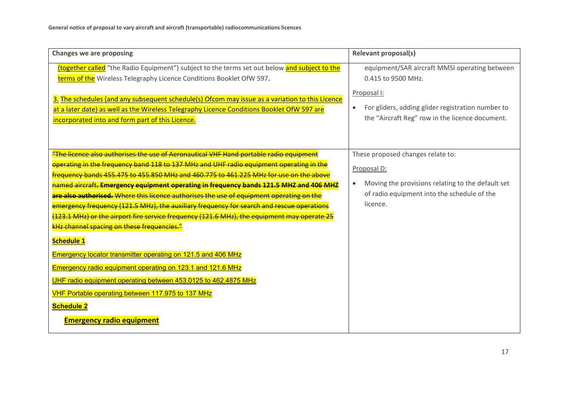| <b>Changes we are proposing</b>                                                                                                                                                                                                                                          | <b>Relevant proposal(s)</b>                                                                                       |
|--------------------------------------------------------------------------------------------------------------------------------------------------------------------------------------------------------------------------------------------------------------------------|-------------------------------------------------------------------------------------------------------------------|
| (together called "the Radio Equipment") subject to the terms set out below and subject to the<br>terms of the Wireless Telegraphy Licence Conditions Booklet OfW 597.<br>3. The schedules (and any subsequent schedule(s) Ofcom may issue as a variation to this Licence | equipment/SAR aircraft MMSI operating between<br>0.415 to 9500 MHz.<br>Proposal I:                                |
| at a later date) as well as the Wireless Telegraphy Licence Conditions Booklet OfW 597 are<br>incorporated into and form part of this Licence.                                                                                                                           | For gliders, adding glider registration number to<br>$\bullet$<br>the "Aircraft Reg" row in the licence document. |
| <u>"The licence also authorises the use of Aeronautical VHF Hand portable radio equipment</u>                                                                                                                                                                            | These proposed changes relate to:                                                                                 |
| operating in the frequency band 118 to 137 MHz and UHF radio equipment operating in the                                                                                                                                                                                  | Proposal D:                                                                                                       |
| frequency bands 455.475 to 455.850 MHz and 460.775 to 461.225 MHz for use on the above                                                                                                                                                                                   |                                                                                                                   |
| named aircraft. Emergency equipment operating in frequency bands 121.5 MHZ and 406 MHZ                                                                                                                                                                                   | Moving the provisions relating to the default set<br>$\bullet$                                                    |
| are also authorised. Where this licence authorises the use of equipment operating on the                                                                                                                                                                                 | of radio equipment into the schedule of the                                                                       |
| emergency frequency (121.5 MHz), the auxiliary frequency for search and rescue operations                                                                                                                                                                                | licence.                                                                                                          |
| (123.1 MHz) or the airport fire service frequency (121.6 MHz), the equipment may operate 25                                                                                                                                                                              |                                                                                                                   |
| kHz channel spacing on these frequencies."                                                                                                                                                                                                                               |                                                                                                                   |
| <b>Schedule 1</b>                                                                                                                                                                                                                                                        |                                                                                                                   |
| Emergency locator transmitter operating on 121.5 and 406 MHz                                                                                                                                                                                                             |                                                                                                                   |
| Emergency radio equipment operating on 123.1 and 121.6 MHz                                                                                                                                                                                                               |                                                                                                                   |
| UHF radio equipment operating between 453.0125 to 462.4875 MHz                                                                                                                                                                                                           |                                                                                                                   |
| VHF Portable operating between 117.975 to 137 MHz                                                                                                                                                                                                                        |                                                                                                                   |
| <b>Schedule 2</b>                                                                                                                                                                                                                                                        |                                                                                                                   |
| <b>Emergency radio equipment</b>                                                                                                                                                                                                                                         |                                                                                                                   |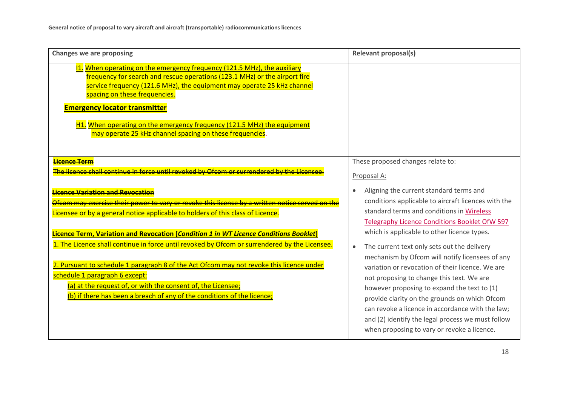| <b>Changes we are proposing</b>                                                                                                                                                                                                                                                                                                                                                                                                                                                                                                                                                                                       | <b>Relevant proposal(s)</b>                                                                                                                                                                                                                                                                                                                                                                                                                                                                                |
|-----------------------------------------------------------------------------------------------------------------------------------------------------------------------------------------------------------------------------------------------------------------------------------------------------------------------------------------------------------------------------------------------------------------------------------------------------------------------------------------------------------------------------------------------------------------------------------------------------------------------|------------------------------------------------------------------------------------------------------------------------------------------------------------------------------------------------------------------------------------------------------------------------------------------------------------------------------------------------------------------------------------------------------------------------------------------------------------------------------------------------------------|
| 11. When operating on the emergency frequency (121.5 MHz), the auxiliary<br>frequency for search and rescue operations (123.1 MHz) or the airport fire<br>service frequency (121.6 MHz), the equipment may operate 25 kHz channel<br>spacing on these frequencies.<br><b>Emergency locator transmitter</b><br>H1. When operating on the emergency frequency (121.5 MHz) the equipment<br>may operate 25 kHz channel spacing on these frequencies.                                                                                                                                                                     |                                                                                                                                                                                                                                                                                                                                                                                                                                                                                                            |
| Licence Term<br>The licence shall continue in force until revoked by Ofcom or surrendered by the Licens                                                                                                                                                                                                                                                                                                                                                                                                                                                                                                               | These proposed changes relate to:<br>Proposal A:                                                                                                                                                                                                                                                                                                                                                                                                                                                           |
| <b>Licence Variation and Revocation</b><br>Ofcom may exercise their power to vary or revoke this licence by a written notice served on the<br>Licensee or by a general notice applicable to holders of this class of Licence.<br>Licence Term, Variation and Revocation [Condition 1 in WT Licence Conditions Booklet]<br>1. The Licence shall continue in force until revoked by Ofcom or surrendered by the Licensee.<br>2. Pursuant to schedule 1 paragraph 8 of the Act Ofcom may not revoke this licence under<br>schedule 1 paragraph 6 except:<br>(a) at the request of, or with the consent of, the Licensee; | Aligning the current standard terms and<br>conditions applicable to aircraft licences with the<br>standard terms and conditions in Wireless<br>Telegraphy Licence Conditions Booklet OfW 597<br>which is applicable to other licence types.<br>The current text only sets out the delivery<br>$\bullet$<br>mechanism by Ofcom will notify licensees of any<br>variation or revocation of their licence. We are<br>not proposing to change this text. We are<br>however proposing to expand the text to (1) |
| (b) if there has been a breach of any of the conditions of the licence;                                                                                                                                                                                                                                                                                                                                                                                                                                                                                                                                               | provide clarity on the grounds on which Ofcom<br>can revoke a licence in accordance with the law;<br>and (2) identify the legal process we must follow<br>when proposing to vary or revoke a licence.                                                                                                                                                                                                                                                                                                      |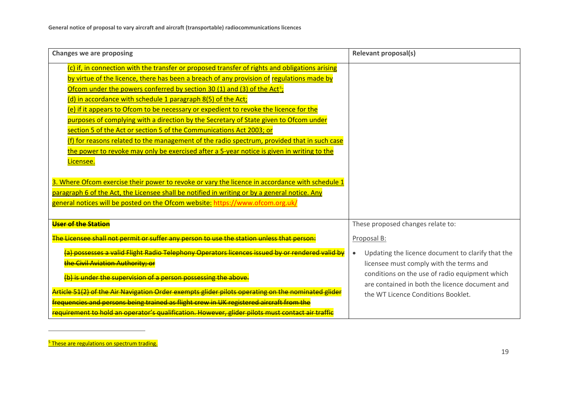<span id="page-20-0"></span>

| <b>Changes we are proposing</b>                                                                                                                                                                                                                                                                                                                                                                                                                                                                                                                                                                                                                                                                                                                                                                                                                                                                                                                                                                                                                                                                               | <b>Relevant proposal(s)</b>                                                                                                                                                                                                                                        |
|---------------------------------------------------------------------------------------------------------------------------------------------------------------------------------------------------------------------------------------------------------------------------------------------------------------------------------------------------------------------------------------------------------------------------------------------------------------------------------------------------------------------------------------------------------------------------------------------------------------------------------------------------------------------------------------------------------------------------------------------------------------------------------------------------------------------------------------------------------------------------------------------------------------------------------------------------------------------------------------------------------------------------------------------------------------------------------------------------------------|--------------------------------------------------------------------------------------------------------------------------------------------------------------------------------------------------------------------------------------------------------------------|
| (c) if, in connection with the transfer or proposed transfer of rights and obligations arising<br>by virtue of the licence, there has been a breach of any provision of regulations made by<br>Ofcom under the powers conferred by section 30 (1) and (3) of the Act <sup>5</sup> ;<br>(d) in accordance with schedule 1 paragraph 8(5) of the Act;<br>(e) if it appears to Ofcom to be necessary or expedient to revoke the licence for the<br>purposes of complying with a direction by the Secretary of State given to Ofcom under<br>section 5 of the Act or section 5 of the Communications Act 2003; or<br>(f) for reasons related to the management of the radio spectrum, provided that in such case<br>the power to revoke may only be exercised after a 5-year notice is given in writing to the<br>Licensee.<br>3. Where Ofcom exercise their power to revoke or vary the licence in accordance with schedule 1<br>paragraph 6 of the Act, the Licensee shall be notified in writing or by a general notice. Any<br>general notices will be posted on the Ofcom website: https://www.ofcom.org.uk/ |                                                                                                                                                                                                                                                                    |
| <b>User of the Station</b>                                                                                                                                                                                                                                                                                                                                                                                                                                                                                                                                                                                                                                                                                                                                                                                                                                                                                                                                                                                                                                                                                    | These proposed changes relate to:                                                                                                                                                                                                                                  |
| The Licensee shall not permit or suffer any person to use the station unless that person:<br>(a) possesses a valid Flight Radio Telephony Operators licences issued by or rendered valid by<br>the Civil Aviation Authority; or<br>(b) is under the supervision of a person possessing the above.<br>Article 51(2) of the Air Navigation Order exempts glider pilots operating on the nominated glider                                                                                                                                                                                                                                                                                                                                                                                                                                                                                                                                                                                                                                                                                                        | Proposal B:<br>Updating the licence document to clarify that the<br>$\bullet$<br>licensee must comply with the terms and<br>conditions on the use of radio equipment which<br>are contained in both the licence document and<br>the WT Licence Conditions Booklet. |
| frequencies and persons being trained as flight crew in UK registered aircraft from the<br>requirement to hold an operator's qualification. However, glider pilots must contact air traffic                                                                                                                                                                                                                                                                                                                                                                                                                                                                                                                                                                                                                                                                                                                                                                                                                                                                                                                   |                                                                                                                                                                                                                                                                    |

<sup>5</sup> These are regulations on spectrum trading.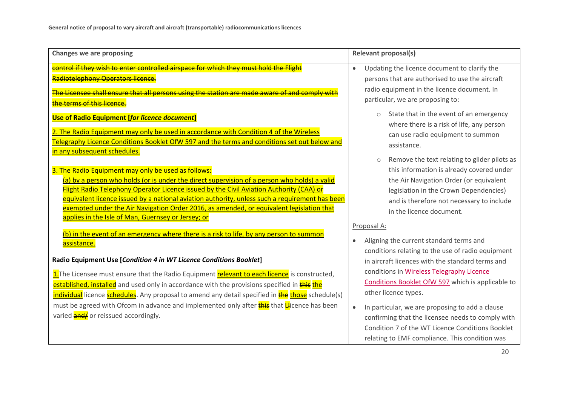| <b>Changes we are proposing</b>                                                                                                                                                                                                                                                                                                                                                                                                                                                                    | <b>Relevant proposal(s)</b>                                                                                                                                                                                                                                                                          |
|----------------------------------------------------------------------------------------------------------------------------------------------------------------------------------------------------------------------------------------------------------------------------------------------------------------------------------------------------------------------------------------------------------------------------------------------------------------------------------------------------|------------------------------------------------------------------------------------------------------------------------------------------------------------------------------------------------------------------------------------------------------------------------------------------------------|
| control if they wish to enter controlled airspace for which they must hold the Flight<br>Radiotelephony Operators licence.<br>The Licensee shall ensure that all persons using the station are made aware of and comply with<br>the terms of this licence.                                                                                                                                                                                                                                         | Updating the licence document to clarify the<br>$\bullet$<br>persons that are authorised to use the aircraft<br>radio equipment in the licence document. In<br>particular, we are proposing to:                                                                                                      |
| Use of Radio Equipment [for licence document]<br>2. The Radio Equipment may only be used in accordance with Condition 4 of the Wireless<br>Telegraphy Licence Conditions Booklet OfW 597 and the terms and conditions set out below and<br>in any subsequent schedules.                                                                                                                                                                                                                            | State that in the event of an emergency<br>where there is a risk of life, any person<br>can use radio equipment to summon<br>assistance.                                                                                                                                                             |
| 3. The Radio Equipment may only be used as follows:<br>(a) by a person who holds (or is under the direct supervision of a person who holds) a valid<br>Flight Radio Telephony Operator Licence issued by the Civil Aviation Authority (CAA) or<br>equivalent licence issued by a national aviation authority, unless such a requirement has been<br>exempted under the Air Navigation Order 2016, as amended, or equivalent legislation that<br>applies in the Isle of Man, Guernsey or Jersey; or | Remove the text relating to glider pilots as<br>$\circ$<br>this information is already covered under<br>the Air Navigation Order (or equivalent<br>legislation in the Crown Dependencies)<br>and is therefore not necessary to include<br>in the licence document.                                   |
| (b) in the event of an emergency where there is a risk to life, by any person to summon<br>assistance.<br>Radio Equipment Use [Condition 4 in WT Licence Conditions Booklet]                                                                                                                                                                                                                                                                                                                       | Proposal A:<br>Aligning the current standard terms and<br>$\bullet$<br>conditions relating to the use of radio equipment<br>in aircraft licences with the standard terms and<br>conditions in Wireless Telegraphy Licence                                                                            |
| 1. The Licensee must ensure that the Radio Equipment relevant to each licence is constructed,<br>established, installed and used only in accordance with the provisions specified in this the<br>individual licence schedules. Any proposal to amend any detail specified in <b>the those</b> schedule(s)<br>must be agreed with Ofcom in advance and implemented only after <b>this</b> that <b>Li</b> cence has been<br>varied <b>and/</b> or reissued accordingly.                              | Conditions Booklet OfW 597 which is applicable to<br>other licence types.<br>In particular, we are proposing to add a clause<br>$\bullet$<br>confirming that the licensee needs to comply with<br>Condition 7 of the WT Licence Conditions Booklet<br>relating to EMF compliance. This condition was |
|                                                                                                                                                                                                                                                                                                                                                                                                                                                                                                    | 20                                                                                                                                                                                                                                                                                                   |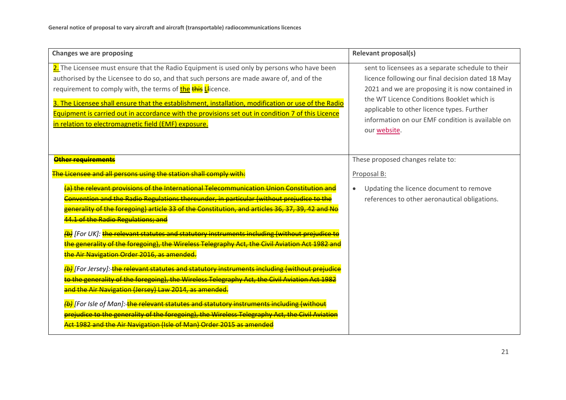| <b>Changes we are proposing</b>                                                                                                                                                                                                                                                                                                                                                                                                                                                                                                                                                                                                                                                                                                                                                 | <b>Relevant proposal(s)</b>                                                                                                                                                                                                                                                                                                |
|---------------------------------------------------------------------------------------------------------------------------------------------------------------------------------------------------------------------------------------------------------------------------------------------------------------------------------------------------------------------------------------------------------------------------------------------------------------------------------------------------------------------------------------------------------------------------------------------------------------------------------------------------------------------------------------------------------------------------------------------------------------------------------|----------------------------------------------------------------------------------------------------------------------------------------------------------------------------------------------------------------------------------------------------------------------------------------------------------------------------|
| 2. The Licensee must ensure that the Radio Equipment is used only by persons who have been<br>authorised by the Licensee to do so, and that such persons are made aware of, and of the<br>requirement to comply with, the terms of the this Llicence.<br>3. The Licensee shall ensure that the establishment, installation, modification or use of the Radio<br>Equipment is carried out in accordance with the provisions set out in condition 7 of this Licence<br>in relation to electromagnetic field (EMF) exposure.                                                                                                                                                                                                                                                       | sent to licensees as a separate schedule to their<br>licence following our final decision dated 18 May<br>2021 and we are proposing it is now contained in<br>the WT Licence Conditions Booklet which is<br>applicable to other licence types. Further<br>information on our EMF condition is available on<br>our website. |
| Other requirements<br>The Licensee and all persons using the station shall comply with:<br>(a) the relevant provisions of the International Telecommunication Union Constitution and<br>Convention and the Radio Regulations thereunder, in particular (without prejudice to the<br>generality of the foregoing) article 33 of the Constitution, and articles 36, 37, 39, 42 and No<br>44.1 of the Radio Regulations; and                                                                                                                                                                                                                                                                                                                                                       | These proposed changes relate to:<br>Proposal B:<br>Updating the licence document to remove<br>$\bullet$<br>references to other aeronautical obligations.                                                                                                                                                                  |
| (b) [For UK]: the relevant statutes and statutory instruments including (without prejudice to<br>the generality of the foregoing), the Wireless Telegraphy Act, the Civil Aviation Act 1982 and<br>the Air Navigation Order 2016, as amended.<br>(b) [For Jersey]: the relevant statutes and statutory instruments including (without prejudice<br>to the generality of the foregoing), the Wireless Telegraphy Act, the Civil Aviation Act 1982<br>and the Air Navigation (Jersey) Law 2014, as amended.<br>(b) [For Isle of Man]: the relevant statutes and statutory instruments including (without<br>prejudice to the generality of the foregoing), the Wireless Telegraphy Act, the Civil Aviation<br>Act 1982 and the Air Navigation (Isle of Man) Order 2015 as amended |                                                                                                                                                                                                                                                                                                                            |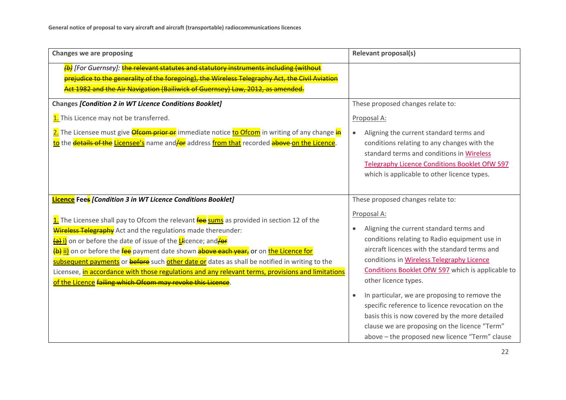| <b>Changes we are proposing</b>                                                                                                                                                                                                                                                                                                                                                                                                                                                                                                                                                                                                                                                | <b>Relevant proposal(s)</b>                                                                                                                                                                                                                                                                                                                                                                                                                                                                                                                                                                   |
|--------------------------------------------------------------------------------------------------------------------------------------------------------------------------------------------------------------------------------------------------------------------------------------------------------------------------------------------------------------------------------------------------------------------------------------------------------------------------------------------------------------------------------------------------------------------------------------------------------------------------------------------------------------------------------|-----------------------------------------------------------------------------------------------------------------------------------------------------------------------------------------------------------------------------------------------------------------------------------------------------------------------------------------------------------------------------------------------------------------------------------------------------------------------------------------------------------------------------------------------------------------------------------------------|
| (b) [For Guernsey]: the relevant statutes and statutory instruments including (without<br>prejudice to the generality of the foregoing), the Wireless Telegraphy Act, the Civil Aviation<br>Act 1982 and the Air Navigation (Bailiwick of Guernsey) Law, 2012, as amended.                                                                                                                                                                                                                                                                                                                                                                                                     |                                                                                                                                                                                                                                                                                                                                                                                                                                                                                                                                                                                               |
| Changes [Condition 2 in WT Licence Conditions Booklet]<br>1. This Licence may not be transferred.<br>2. The Licensee must give <i>Ofcom prior or</i> immediate notice to Ofcom in writing of any change in<br>to the details of the Licensee's name and/or address from that recorded above on the Licence.                                                                                                                                                                                                                                                                                                                                                                    | These proposed changes relate to:<br>Proposal A:<br>Aligning the current standard terms and<br>$\bullet$<br>conditions relating to any changes with the<br>standard terms and conditions in Wireless<br>Telegraphy Licence Conditions Booklet OfW 597<br>which is applicable to other licence types.                                                                                                                                                                                                                                                                                          |
| <b>Licence</b> Fees [Condition 3 in WT Licence Conditions Booklet]<br>1. The Licensee shall pay to Ofcom the relevant fee sums as provided in section 12 of the<br><b>Wireless Telegraphy</b> Act and the regulations made thereunder:<br>(a) i) on or before the date of issue of the Llicence; and for<br>(b) ii) on or before the fee payment date shown above each year, or on the Licence for<br>subsequent payments or <b>before</b> such other date or dates as shall be notified in writing to the<br>Licensee, in accordance with those regulations and any relevant terms, provisions and limitations<br>of the Licence failing which Ofcom may revoke this Licence. | These proposed changes relate to:<br>Proposal A:<br>Aligning the current standard terms and<br>$\bullet$<br>conditions relating to Radio equipment use in<br>aircraft licences with the standard terms and<br>conditions in Wireless Telegraphy Licence<br>Conditions Booklet OfW 597 which is applicable to<br>other licence types.<br>In particular, we are proposing to remove the<br>specific reference to licence revocation on the<br>basis this is now covered by the more detailed<br>clause we are proposing on the licence "Term"<br>above - the proposed new licence "Term" clause |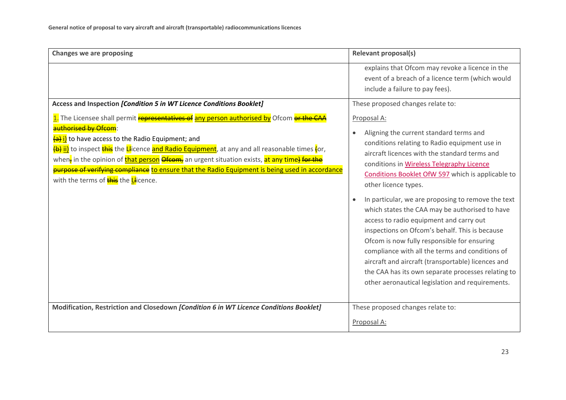| <b>Changes we are proposing</b>                                                                                                                                                                                                                                                                                                                                                                                                                                                                                                       | <b>Relevant proposal(s)</b>                                                                                                                                                                                                                                                                                                                                                                                                                                                                                                                                                                                                                                                                                                                                            |
|---------------------------------------------------------------------------------------------------------------------------------------------------------------------------------------------------------------------------------------------------------------------------------------------------------------------------------------------------------------------------------------------------------------------------------------------------------------------------------------------------------------------------------------|------------------------------------------------------------------------------------------------------------------------------------------------------------------------------------------------------------------------------------------------------------------------------------------------------------------------------------------------------------------------------------------------------------------------------------------------------------------------------------------------------------------------------------------------------------------------------------------------------------------------------------------------------------------------------------------------------------------------------------------------------------------------|
|                                                                                                                                                                                                                                                                                                                                                                                                                                                                                                                                       | explains that Ofcom may revoke a licence in the<br>event of a breach of a licence term (which would<br>include a failure to pay fees).                                                                                                                                                                                                                                                                                                                                                                                                                                                                                                                                                                                                                                 |
| Access and Inspection [Condition 5 in WT Licence Conditions Booklet]                                                                                                                                                                                                                                                                                                                                                                                                                                                                  | These proposed changes relate to:                                                                                                                                                                                                                                                                                                                                                                                                                                                                                                                                                                                                                                                                                                                                      |
| 1. The Licensee shall permit representatives of any person authorised by Ofcom or the CAA<br>authorised by Ofcom:<br>(a) i) to have access to the Radio Equipment; and<br>(b) ii) to inspect this the Llicence and Radio Equipment, at any and all reasonable times (or,<br>when <sub>z</sub> in the opinion of <b>that person Ofcom</b> , an urgent situation exists, at any time) for the<br>purpose of verifying compliance to ensure that the Radio Equipment is being used in accordance<br>with the terms of this the Llicence. | Proposal A:<br>Aligning the current standard terms and<br>$\bullet$<br>conditions relating to Radio equipment use in<br>aircraft licences with the standard terms and<br>conditions in Wireless Telegraphy Licence<br>Conditions Booklet OfW 597 which is applicable to<br>other licence types.<br>In particular, we are proposing to remove the text<br>which states the CAA may be authorised to have<br>access to radio equipment and carry out<br>inspections on Ofcom's behalf. This is because<br>Ofcom is now fully responsible for ensuring<br>compliance with all the terms and conditions of<br>aircraft and aircraft (transportable) licences and<br>the CAA has its own separate processes relating to<br>other aeronautical legislation and requirements. |
| Modification, Restriction and Closedown [Condition 6 in WT Licence Conditions Booklet]                                                                                                                                                                                                                                                                                                                                                                                                                                                | These proposed changes relate to:                                                                                                                                                                                                                                                                                                                                                                                                                                                                                                                                                                                                                                                                                                                                      |
|                                                                                                                                                                                                                                                                                                                                                                                                                                                                                                                                       | Proposal A:                                                                                                                                                                                                                                                                                                                                                                                                                                                                                                                                                                                                                                                                                                                                                            |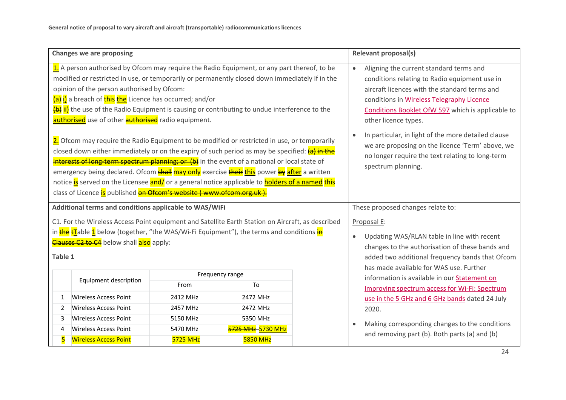| <b>Changes we are proposing</b>                                                                                                                                                                                                                                                                                                                                                                                                                                                                                                                                                                                         |                                                        |                 | <b>Relevant proposal(s)</b>                                                                                                                                                                                                                                                      |                                         |                                                                                                                                                                                                |
|-------------------------------------------------------------------------------------------------------------------------------------------------------------------------------------------------------------------------------------------------------------------------------------------------------------------------------------------------------------------------------------------------------------------------------------------------------------------------------------------------------------------------------------------------------------------------------------------------------------------------|--------------------------------------------------------|-----------------|----------------------------------------------------------------------------------------------------------------------------------------------------------------------------------------------------------------------------------------------------------------------------------|-----------------------------------------|------------------------------------------------------------------------------------------------------------------------------------------------------------------------------------------------|
| 1. A person authorised by Ofcom may require the Radio Equipment, or any part thereof, to be<br>modified or restricted in use, or temporarily or permanently closed down immediately if in the<br>opinion of the person authorised by Ofcom:<br>(a) <mark>i)</mark> a breach of <mark>this the</mark> Licence has occurred; and/or<br>(b) ii) the use of the Radio Equipment is causing or contributing to undue interference to the<br>authorised use of other authorised radio equipment.                                                                                                                              |                                                        |                 | Aligning the current standard terms and<br>$\bullet$<br>conditions relating to Radio equipment use in<br>aircraft licences with the standard terms and<br>conditions in Wireless Telegraphy Licence<br>Conditions Booklet OfW 597 which is applicable to<br>other licence types. |                                         |                                                                                                                                                                                                |
| 2. Ofcom may require the Radio Equipment to be modified or restricted in use, or temporarily<br>closed down either immediately or on the expiry of such period as may be specified: (a) in the<br>interests of long-term spectrum planning; or (b) in the event of a national or local state of<br>emergency being declared. Ofcom <mark>shall may only</mark> exercise <mark>their this</mark> power <mark>by after</mark> a written<br>notice is served on the Licensee and/ or a general notice applicable to <b>holders of a named this</b><br>class of Licence is published on Ofcom's website (www.ofcom.org.uk). |                                                        |                 |                                                                                                                                                                                                                                                                                  |                                         | In particular, in light of the more detailed clause<br>$\bullet$<br>we are proposing on the licence 'Term' above, we<br>no longer require the text relating to long-term<br>spectrum planning. |
| Additional terms and conditions applicable to WAS/WiFi                                                                                                                                                                                                                                                                                                                                                                                                                                                                                                                                                                  |                                                        |                 | These proposed changes relate to:                                                                                                                                                                                                                                                |                                         |                                                                                                                                                                                                |
| C1. For the Wireless Access Point equipment and Satellite Earth Station on Aircraft, as described                                                                                                                                                                                                                                                                                                                                                                                                                                                                                                                       |                                                        |                 | Proposal E:                                                                                                                                                                                                                                                                      |                                         |                                                                                                                                                                                                |
| in <mark>the tT</mark> able 1 below (together, "the WAS/Wi-Fi Equipment"), the terms and conditions in                                                                                                                                                                                                                                                                                                                                                                                                                                                                                                                  |                                                        |                 | Updating WAS/RLAN table in line with recent<br>$\bullet$                                                                                                                                                                                                                         |                                         |                                                                                                                                                                                                |
|                                                                                                                                                                                                                                                                                                                                                                                                                                                                                                                                                                                                                         | <b>Clauses C2 to C4</b> below shall <b>also</b> apply: |                 |                                                                                                                                                                                                                                                                                  |                                         | changes to the authorisation of these bands and                                                                                                                                                |
| Table 1                                                                                                                                                                                                                                                                                                                                                                                                                                                                                                                                                                                                                 |                                                        |                 |                                                                                                                                                                                                                                                                                  |                                         | added two additional frequency bands that Ofcom                                                                                                                                                |
| Frequency range                                                                                                                                                                                                                                                                                                                                                                                                                                                                                                                                                                                                         |                                                        |                 |                                                                                                                                                                                                                                                                                  | has made available for WAS use. Further |                                                                                                                                                                                                |
|                                                                                                                                                                                                                                                                                                                                                                                                                                                                                                                                                                                                                         | Equipment description                                  | From            | To                                                                                                                                                                                                                                                                               |                                         | information is available in our Statement on<br><b>Improving spectrum access for Wi-Fi: Spectrum</b>                                                                                           |
| $\mathbf{1}$                                                                                                                                                                                                                                                                                                                                                                                                                                                                                                                                                                                                            | <b>Wireless Access Point</b>                           | 2412 MHz        | 2472 MHz                                                                                                                                                                                                                                                                         |                                         | use in the 5 GHz and 6 GHz bands dated 24 July                                                                                                                                                 |
| 2472 MHz<br><b>Wireless Access Point</b><br>2457 MHz<br>2<br><b>Wireless Access Point</b><br>5350 MHz<br>5150 MHz<br>3                                                                                                                                                                                                                                                                                                                                                                                                                                                                                                  |                                                        |                 | 2020.                                                                                                                                                                                                                                                                            |                                         |                                                                                                                                                                                                |
|                                                                                                                                                                                                                                                                                                                                                                                                                                                                                                                                                                                                                         |                                                        |                 |                                                                                                                                                                                                                                                                                  |                                         |                                                                                                                                                                                                |
| 4                                                                                                                                                                                                                                                                                                                                                                                                                                                                                                                                                                                                                       | <b>Wireless Access Point</b>                           | 5470 MHz        | 5725 MHz-5730 MHz                                                                                                                                                                                                                                                                |                                         | Making corresponding changes to the conditions<br>$\bullet$<br>and removing part (b). Both parts (a) and (b)                                                                                   |
| <u>5</u>                                                                                                                                                                                                                                                                                                                                                                                                                                                                                                                                                                                                                | <b>Wireless Access Point</b>                           | <b>5725 MHz</b> | <b>5850 MHz</b>                                                                                                                                                                                                                                                                  |                                         |                                                                                                                                                                                                |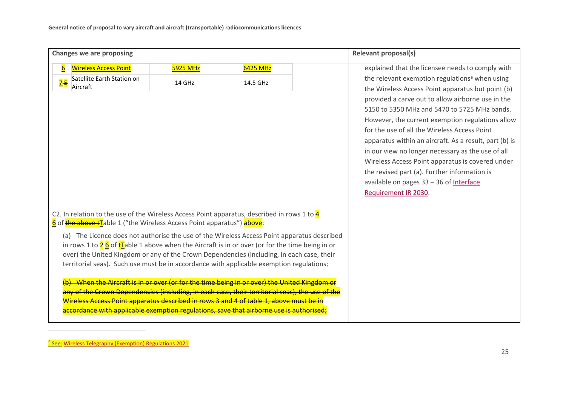<span id="page-26-0"></span>

| <b>Changes we are proposing</b>                                                                                                                                                                                                                                                                                                                                                                                 |                 |          | <b>Relevant proposal(s)</b>                                                                      |
|-----------------------------------------------------------------------------------------------------------------------------------------------------------------------------------------------------------------------------------------------------------------------------------------------------------------------------------------------------------------------------------------------------------------|-----------------|----------|--------------------------------------------------------------------------------------------------|
| <b>Wireless Access Point</b><br>$6\overline{6}$                                                                                                                                                                                                                                                                                                                                                                 | <b>5925 MHz</b> | 6425 MHz | explained that the licensee needs to comply with                                                 |
| Satellite Earth Station on<br>$\overline{2}$ -5                                                                                                                                                                                                                                                                                                                                                                 | 14 GHz          | 14.5 GHz | the relevant exemption regulations <sup>6</sup> when using                                       |
| Aircraft                                                                                                                                                                                                                                                                                                                                                                                                        |                 |          | the Wireless Access Point apparatus but point (b)                                                |
|                                                                                                                                                                                                                                                                                                                                                                                                                 |                 |          | provided a carve out to allow airborne use in the                                                |
|                                                                                                                                                                                                                                                                                                                                                                                                                 |                 |          | 5150 to 5350 MHz and 5470 to 5725 MHz bands.<br>However, the current exemption regulations allow |
|                                                                                                                                                                                                                                                                                                                                                                                                                 |                 |          | for the use of all the Wireless Access Point                                                     |
|                                                                                                                                                                                                                                                                                                                                                                                                                 |                 |          | apparatus within an aircraft. As a result, part (b) is                                           |
|                                                                                                                                                                                                                                                                                                                                                                                                                 |                 |          | in our view no longer necessary as the use of all                                                |
|                                                                                                                                                                                                                                                                                                                                                                                                                 |                 |          | Wireless Access Point apparatus is covered under                                                 |
|                                                                                                                                                                                                                                                                                                                                                                                                                 |                 |          | the revised part (a). Further information is                                                     |
|                                                                                                                                                                                                                                                                                                                                                                                                                 |                 |          | available on pages 33 - 36 of Interface                                                          |
|                                                                                                                                                                                                                                                                                                                                                                                                                 |                 |          | Requirement IR 2030.                                                                             |
|                                                                                                                                                                                                                                                                                                                                                                                                                 |                 |          |                                                                                                  |
| C2. In relation to the use of the Wireless Access Point apparatus, described in rows 1 to $4$<br>6 of the above tlable 1 ("the Wireless Access Point apparatus") above:                                                                                                                                                                                                                                         |                 |          |                                                                                                  |
| (a) The Licence does not authorise the use of the Wireless Access Point apparatus described<br>in rows 1 to $\frac{2}{5}$ 6 of $\frac{1}{5}$ able 1 above when the Aircraft is in or over (or for the time being in or<br>over) the United Kingdom or any of the Crown Dependencies (including, in each case, their<br>territorial seas). Such use must be in accordance with applicable exemption regulations; |                 |          |                                                                                                  |
| (b)—When the Aircraft is in or over (or for the time being in or over) the United Kingdom or<br>any of the Crown Dependencies (including, in each case, their territorial seas), the use of the<br>Wireless Access Point apparatus described in rows 3 and 4 of table 1, above must be in<br>accordance with applicable exemption regulations, save that airborne use is authorised;                            |                 |          |                                                                                                  |

**<sup>&</sup>lt;u><sup>6</sup> See: [Wireless Telegraphy \(Exemption\) Regulations 2021](https://www.legislation.gov.uk/uksi/2021/493/data.pdf)</u>**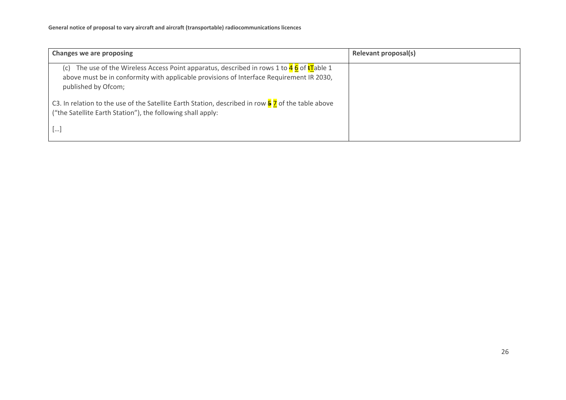| Changes we are proposing                                                                                                                                                                                                                                                                                                                                                                                               | Relevant proposal(s) |
|------------------------------------------------------------------------------------------------------------------------------------------------------------------------------------------------------------------------------------------------------------------------------------------------------------------------------------------------------------------------------------------------------------------------|----------------------|
| The use of the Wireless Access Point apparatus, described in rows 1 to $46$ of $tT$ able 1<br>(C)<br>above must be in conformity with applicable provisions of Interface Requirement IR 2030,<br>published by Ofcom;<br>C3. In relation to the use of the Satellite Earth Station, described in row $\frac{5}{7}$ of the table above<br>("the Satellite Earth Station"), the following shall apply:<br>$\lfloor \dots$ |                      |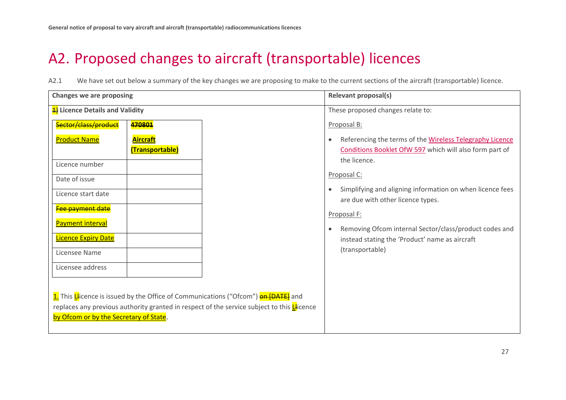# A2. Proposed changes to aircraft (transportable) licences

A2.1 We have set out below a summary of the key changes we are proposing to make to the current sections of the aircraft (transportable) licence.

<span id="page-28-0"></span>

| <b>Changes we are proposing</b>                                                                      |                                                                                           | <b>Relevant proposal(s)</b>                                                                                 |  |
|------------------------------------------------------------------------------------------------------|-------------------------------------------------------------------------------------------|-------------------------------------------------------------------------------------------------------------|--|
| 4) Licence Details and Validity                                                                      |                                                                                           | These proposed changes relate to:                                                                           |  |
| Sector/class/product                                                                                 | 470801                                                                                    | Proposal B:                                                                                                 |  |
| <b>Product Name</b>                                                                                  | <b>Aircraft</b>                                                                           | Referencing the terms of the Wireless Telegraphy Licence<br>$\bullet$                                       |  |
|                                                                                                      | (Transportable)                                                                           | Conditions Booklet OfW 597 which will also form part of<br>the licence.                                     |  |
| Licence number                                                                                       |                                                                                           |                                                                                                             |  |
| Date of issue                                                                                        |                                                                                           | Proposal C:                                                                                                 |  |
| Licence start date                                                                                   |                                                                                           | Simplifying and aligning information on when licence fees<br>$\bullet$<br>are due with other licence types. |  |
| Fee payment date                                                                                     |                                                                                           | Proposal F:                                                                                                 |  |
| <b>Payment interval</b>                                                                              |                                                                                           | Removing Ofcom internal Sector/class/product codes and<br>$\bullet$                                         |  |
| <b>Licence Expiry Date</b>                                                                           |                                                                                           | instead stating the 'Product' name as aircraft                                                              |  |
| Licensee Name                                                                                        |                                                                                           | (transportable)                                                                                             |  |
| Licensee address                                                                                     |                                                                                           |                                                                                                             |  |
|                                                                                                      |                                                                                           |                                                                                                             |  |
|                                                                                                      | 1. This Llicence is issued by the Office of Communications ("Ofcom") <b>on [DATE]</b> and |                                                                                                             |  |
| replaces any previous authority granted in respect of the service subject to this $L$ <i>i</i> cence |                                                                                           |                                                                                                             |  |
| by Ofcom or by the Secretary of State.                                                               |                                                                                           |                                                                                                             |  |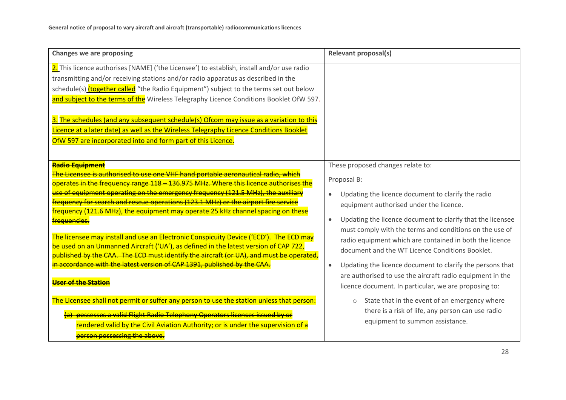| <b>Changes we are proposing</b>                                                                                                                                                                                                                                                                                                                                                                                                                                                                                                                                                                                                                                                                                                                                                                                                                                                                                                                                                                                                                    | <b>Relevant proposal(s)</b>                                                                                                                                                                                                                                                                                                                                                                                                                                                                                                                                                                                                                                                                                            |
|----------------------------------------------------------------------------------------------------------------------------------------------------------------------------------------------------------------------------------------------------------------------------------------------------------------------------------------------------------------------------------------------------------------------------------------------------------------------------------------------------------------------------------------------------------------------------------------------------------------------------------------------------------------------------------------------------------------------------------------------------------------------------------------------------------------------------------------------------------------------------------------------------------------------------------------------------------------------------------------------------------------------------------------------------|------------------------------------------------------------------------------------------------------------------------------------------------------------------------------------------------------------------------------------------------------------------------------------------------------------------------------------------------------------------------------------------------------------------------------------------------------------------------------------------------------------------------------------------------------------------------------------------------------------------------------------------------------------------------------------------------------------------------|
| 2. This licence authorises [NAME] ('the Licensee') to establish, install and/or use radio<br>transmitting and/or receiving stations and/or radio apparatus as described in the<br>schedule(s) (together called "the Radio Equipment") subject to the terms set out below<br>and subject to the terms of the Wireless Telegraphy Licence Conditions Booklet OfW 597.<br>3. The schedules (and any subsequent schedule(s) Ofcom may issue as a variation to this<br>Licence at a later date) as well as the Wireless Telegraphy Licence Conditions Booklet<br>OfW 597 are incorporated into and form part of this Licence.                                                                                                                                                                                                                                                                                                                                                                                                                           |                                                                                                                                                                                                                                                                                                                                                                                                                                                                                                                                                                                                                                                                                                                        |
| Radio Equipment<br>The Licensee is authorised to use one VHF hand portable aeronautical radio. which<br>operates in the frequency range 118 - 136.975 MHz. Where this licence authorises the<br>use of equipment operating on the emergency frequency (121.5 MHz), the auxiliary<br>frequency for search and rescue operations (123.1 MHz) or the airport fire service<br>frequency (121.6 MHz), the equipment may operate 25 kHz channel spacing on these<br>frequencies.<br><mark>The licensee may install and use an Electronic Conspicuity Device ('ECD'). The ECD may</mark><br>be used on an Unmanned Aircraft ('UA'), as defined in the latest version of CAP 722,<br>published by the CAA. The ECD must identify the aircraft (or UA), and must be operated.<br>in accordance with the latest version of CAP 1391, published by the CAA.<br><u> Heer of the Stati</u><br>The Licensee shall not permit or suffer any person to use the station unless that per<br>possesses a valid Flight Radio Telephony Operators licences issued by or | These proposed changes relate to:<br>Proposal B:<br>Updating the licence document to clarify the radio<br>equipment authorised under the licence.<br>Updating the licence document to clarify that the licensee<br>$\bullet$<br>must comply with the terms and conditions on the use of<br>radio equipment which are contained in both the licence<br>document and the WT Licence Conditions Booklet.<br>Updating the licence document to clarify the persons that<br>$\bullet$<br>are authorised to use the aircraft radio equipment in the<br>licence document. In particular, we are proposing to:<br>State that in the event of an emergency where<br>$\circ$<br>there is a risk of life, any person can use radio |
| rendered valid by the Civil Aviation Authority; or is under the supervision of a<br><mark>person possessing the above.</mark>                                                                                                                                                                                                                                                                                                                                                                                                                                                                                                                                                                                                                                                                                                                                                                                                                                                                                                                      | equipment to summon assistance.                                                                                                                                                                                                                                                                                                                                                                                                                                                                                                                                                                                                                                                                                        |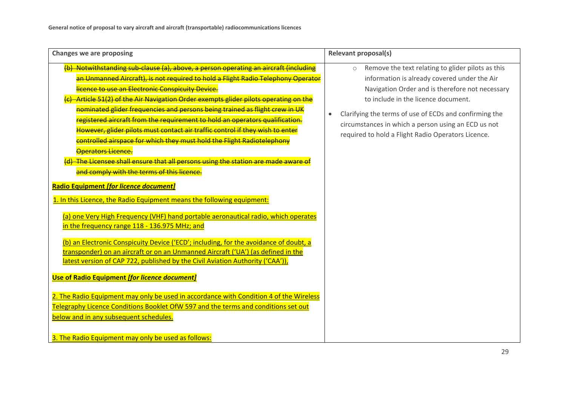| (b) Notwithstanding sub-clause (a), above, a person operating an aircraft (including<br>$\circ$<br>an Unmanned Aircraft), is not required to hold a Flight Radio Telephony Operator<br>licence to use an Electronic Conspicuity Device.<br>(c) Article 51(2) of the Air Navigation Order exempts glider pilots operating on the<br>nominated glider frequencies and persons being trained as flight crew in UK<br>registered aircraft from the requirement to hold an operators qualification.<br>However, glider pilots must contact air traffic control if they wish to enter<br>controlled airspace for which they must hold the Flight Radiotelephony<br>Operators Licence.<br>(d) The Licensee shall ensure that all persons using the station are made aware o<br>and comply with the terms of this licence.<br>Radio Equipment [for licence document]<br>1. In this Licence, the Radio Equipment means the following equipment:<br>(a) one Very High Frequency (VHF) hand portable aeronautical radio, which operates<br>in the frequency range 118 - 136.975 MHz; and<br>(b) an Electronic Conspicuity Device ('ECD'; including, for the avoidance of doubt, a<br>transponder) on an aircraft or on an Unmanned Aircraft ('UA') (as defined in the<br>latest version of CAP 722, published by the Civil Aviation Authority ('CAA')),<br><b>Use of Radio Equipment [for licence document]</b><br>2. The Radio Equipment may only be used in accordance with Condition 4 of the Wireless<br>Telegraphy Licence Conditions Booklet OfW 597 and the terms and conditions set out<br>below and in any subsequent schedules.<br>3. The Radio Equipment may only be used as follows: | Remove the text relating to glider pilots as this<br>information is already covered under the Air<br>Navigation Order and is therefore not necessary<br>to include in the licence document.<br>Clarifying the terms of use of ECDs and confirming the<br>circumstances in which a person using an ECD us not<br>required to hold a Flight Radio Operators Licence. |
|---------------------------------------------------------------------------------------------------------------------------------------------------------------------------------------------------------------------------------------------------------------------------------------------------------------------------------------------------------------------------------------------------------------------------------------------------------------------------------------------------------------------------------------------------------------------------------------------------------------------------------------------------------------------------------------------------------------------------------------------------------------------------------------------------------------------------------------------------------------------------------------------------------------------------------------------------------------------------------------------------------------------------------------------------------------------------------------------------------------------------------------------------------------------------------------------------------------------------------------------------------------------------------------------------------------------------------------------------------------------------------------------------------------------------------------------------------------------------------------------------------------------------------------------------------------------------------------------------------------------------------------------------------------------------------------|--------------------------------------------------------------------------------------------------------------------------------------------------------------------------------------------------------------------------------------------------------------------------------------------------------------------------------------------------------------------|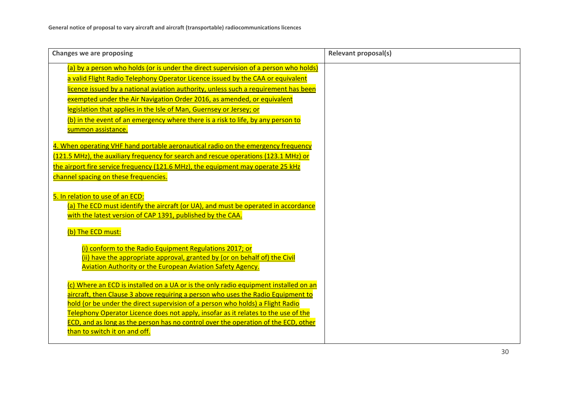| <b>Changes we are proposing</b>                                                                                                                                         | <b>Relevant proposal(s)</b> |
|-------------------------------------------------------------------------------------------------------------------------------------------------------------------------|-----------------------------|
| (a) by a person who holds (or is under the direct supervision of a person who holds)<br>a valid Flight Radio Telephony Operator Licence issued by the CAA or equivalent |                             |
| licence issued by a national aviation authority, unless such a requirement has been                                                                                     |                             |
| exempted under the Air Navigation Order 2016, as amended, or equivalent                                                                                                 |                             |
| legislation that applies in the Isle of Man, Guernsey or Jersey; or<br>(b) in the event of an emergency where there is a risk to life, by any person to                 |                             |
| summon assistance.                                                                                                                                                      |                             |
| 4. When operating VHF hand portable aeronautical radio on the emergency frequency                                                                                       |                             |
| (121.5 MHz), the auxiliary frequency for search and rescue operations (123.1 MHz) or                                                                                    |                             |
| the airport fire service frequency (121.6 MHz), the equipment may operate 25 kHz<br>channel spacing on these frequencies.                                               |                             |
|                                                                                                                                                                         |                             |
| 5. In relation to use of an ECD:                                                                                                                                        |                             |
| (a) The ECD must identify the aircraft (or UA), and must be operated in accordance<br>with the latest version of CAP 1391, published by the CAA.                        |                             |
|                                                                                                                                                                         |                             |
| (b) The ECD must:                                                                                                                                                       |                             |
| (i) conform to the Radio Equipment Regulations 2017; or                                                                                                                 |                             |
| (ii) have the appropriate approval, granted by (or on behalf of) the Civil<br><b>Aviation Authority or the European Aviation Safety Agency.</b>                         |                             |
|                                                                                                                                                                         |                             |
| (c) Where an ECD is installed on a UA or is the only radio equipment installed on an                                                                                    |                             |
| aircraft, then Clause 3 above requiring a person who uses the Radio Equipment to<br>hold (or be under the direct supervision of a person who holds) a Flight Radio      |                             |
| Telephony Operator Licence does not apply, insofar as it relates to the use of the                                                                                      |                             |
| ECD, and as long as the person has no control over the operation of the ECD, other                                                                                      |                             |
| than to switch it on and off.                                                                                                                                           |                             |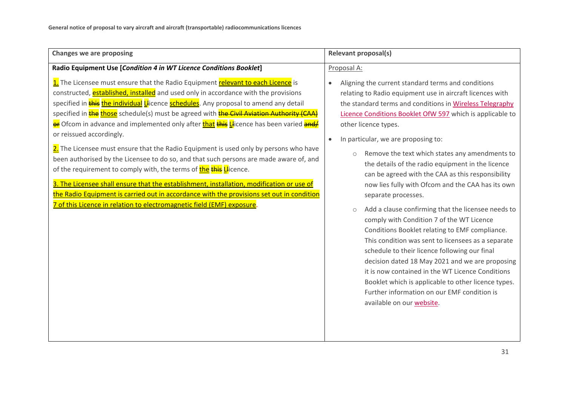| <b>Changes we are proposing</b>                                                                                                                                                                                                                                                                                                                                                                                                                                                                                                                                                                                                                                                                                                                                                                                                                                                                                                                                                                                                                                                                                              | Relevant proposal(s)                                                                                                                                                                                                                                                                                                                                                                                                                                                                                                                                                                                                                                                                                                                                                                                                                                                                                                                                                                                                                                                                                                 |  |
|------------------------------------------------------------------------------------------------------------------------------------------------------------------------------------------------------------------------------------------------------------------------------------------------------------------------------------------------------------------------------------------------------------------------------------------------------------------------------------------------------------------------------------------------------------------------------------------------------------------------------------------------------------------------------------------------------------------------------------------------------------------------------------------------------------------------------------------------------------------------------------------------------------------------------------------------------------------------------------------------------------------------------------------------------------------------------------------------------------------------------|----------------------------------------------------------------------------------------------------------------------------------------------------------------------------------------------------------------------------------------------------------------------------------------------------------------------------------------------------------------------------------------------------------------------------------------------------------------------------------------------------------------------------------------------------------------------------------------------------------------------------------------------------------------------------------------------------------------------------------------------------------------------------------------------------------------------------------------------------------------------------------------------------------------------------------------------------------------------------------------------------------------------------------------------------------------------------------------------------------------------|--|
| Radio Equipment Use [Condition 4 in WT Licence Conditions Booklet]<br>1. The Licensee must ensure that the Radio Equipment relevant to each Licence is<br>constructed, established, installed and used only in accordance with the provisions<br>specified in <b>this the individual Ll</b> icence <b>schedules</b> . Any proposal to amend any detail<br>specified in the those schedule(s) must be agreed with the Civil Aviation Authority (CAA)<br><b>er</b> Ofcom in advance and implemented only after <b>that this Ll</b> icence has been varied <b>and/</b><br>or reissued accordingly.<br>2. The Licensee must ensure that the Radio Equipment is used only by persons who have<br>been authorised by the Licensee to do so, and that such persons are made aware of, and<br>of the requirement to comply with, the terms of the this Llicence.<br>3. The Licensee shall ensure that the establishment, installation, modification or use of<br>the Radio Equipment is carried out in accordance with the provisions set out in condition<br>7 of this Licence in relation to electromagnetic field (EMF) exposure. | Proposal A:<br>Aligning the current standard terms and conditions<br>$\bullet$<br>relating to Radio equipment use in aircraft licences with<br>the standard terms and conditions in Wireless Telegraphy<br>Licence Conditions Booklet OfW 597 which is applicable to<br>other licence types.<br>In particular, we are proposing to:<br>$\bullet$<br>Remove the text which states any amendments to<br>$\circ$<br>the details of the radio equipment in the licence<br>can be agreed with the CAA as this responsibility<br>now lies fully with Ofcom and the CAA has its own<br>separate processes.<br>Add a clause confirming that the licensee needs to<br>$\circ$<br>comply with Condition 7 of the WT Licence<br>Conditions Booklet relating to EMF compliance.<br>This condition was sent to licensees as a separate<br>schedule to their licence following our final<br>decision dated 18 May 2021 and we are proposing<br>it is now contained in the WT Licence Conditions<br>Booklet which is applicable to other licence types.<br>Further information on our EMF condition is<br>available on our website. |  |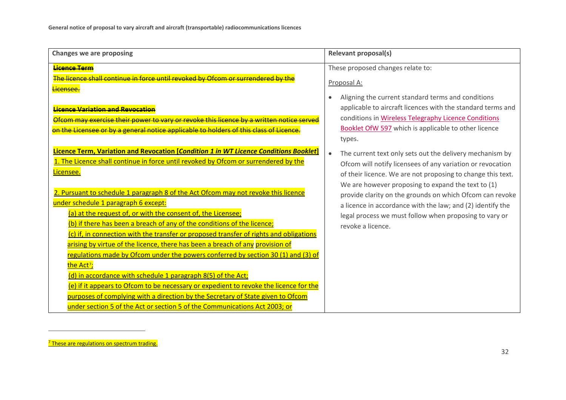<span id="page-33-0"></span>

| <b>Changes we are proposing</b>                                                                                                                                                                                                                                                                                                                                                                                                                                                                                                                                                                                                                                                                                          | <b>Relevant proposal(s)</b>                                                                                                                                                                                                                                 |
|--------------------------------------------------------------------------------------------------------------------------------------------------------------------------------------------------------------------------------------------------------------------------------------------------------------------------------------------------------------------------------------------------------------------------------------------------------------------------------------------------------------------------------------------------------------------------------------------------------------------------------------------------------------------------------------------------------------------------|-------------------------------------------------------------------------------------------------------------------------------------------------------------------------------------------------------------------------------------------------------------|
| <b>Licence Term</b><br>The licence shall continue in force until revoked by Ofcom or surrendered by the<br><mark>Licensee.</mark>                                                                                                                                                                                                                                                                                                                                                                                                                                                                                                                                                                                        | These proposed changes relate to:<br>Proposal A:<br>Aligning the current standard terms and conditions                                                                                                                                                      |
| <b>Licence Variation and Revocation</b><br>Ofcom may exercise their power to vary or revoke this licence by a written notice served<br>on the Licensee or by a general notice applicable to holders of this class of Licence.                                                                                                                                                                                                                                                                                                                                                                                                                                                                                            | applicable to aircraft licences with the standard terms and<br>conditions in Wireless Telegraphy Licence Conditions<br>Booklet OfW 597 which is applicable to other licence<br>types.                                                                       |
| Licence Term, Variation and Revocation [Condition 1 in WT Licence Conditions Booklet]<br>1. The Licence shall continue in force until revoked by Ofcom or surrendered by the<br>Licensee.                                                                                                                                                                                                                                                                                                                                                                                                                                                                                                                                | The current text only sets out the delivery mechanism by<br>Ofcom will notify licensees of any variation or revocation<br>of their licence. We are not proposing to change this text.                                                                       |
| 2. Pursuant to schedule 1 paragraph 8 of the Act Ofcom may not revoke this licence<br>under schedule 1 paragraph 6 except:<br>(a) at the request of, or with the consent of, the Licensee;<br>(b) if there has been a breach of any of the conditions of the licence;<br>(c) if, in connection with the transfer or proposed transfer of rights and obligations<br>arising by virtue of the licence, there has been a breach of any provision of<br>regulations made by Ofcom under the powers conferred by section 30 (1) and (3) of<br>the Act <sup>7</sup> ;<br>(d) in accordance with schedule 1 paragraph 8(5) of the Act;<br>(e) if it appears to Ofcom to be necessary or expedient to revoke the licence for the | We are however proposing to expand the text to (1)<br>provide clarity on the grounds on which Ofcom can revoke<br>a licence in accordance with the law; and (2) identify the<br>legal process we must follow when proposing to vary or<br>revoke a licence. |
| purposes of complying with a direction by the Secretary of State given to Ofcom<br>under section 5 of the Act or section 5 of the Communications Act 2003; or                                                                                                                                                                                                                                                                                                                                                                                                                                                                                                                                                            |                                                                                                                                                                                                                                                             |

<sup>&</sup>lt;sup>7</sup> These are regulations on spectrum trading.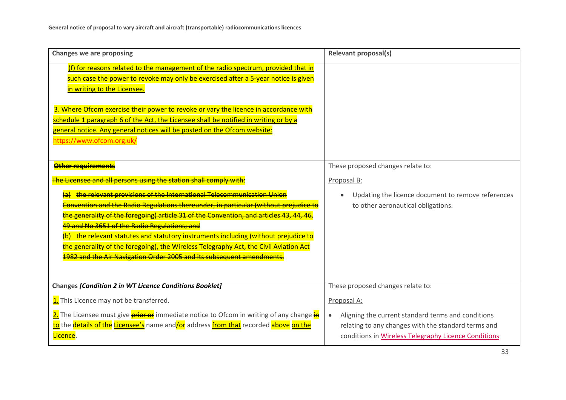| <b>Changes we are proposing</b>                                                                                                                                                                                                                                                                                                                                                                                                                                                                 | <b>Relevant proposal(s)</b>                                                                                                                                                    |  |
|-------------------------------------------------------------------------------------------------------------------------------------------------------------------------------------------------------------------------------------------------------------------------------------------------------------------------------------------------------------------------------------------------------------------------------------------------------------------------------------------------|--------------------------------------------------------------------------------------------------------------------------------------------------------------------------------|--|
| (f) for reasons related to the management of the radio spectrum, provided that in<br>such case the power to revoke may only be exercised after a 5-year notice is given<br>in writing to the Licensee.<br>3. Where Ofcom exercise their power to revoke or vary the licence in accordance with<br>schedule 1 paragraph 6 of the Act, the Licensee shall be notified in writing or by a<br>general notice. Any general notices will be posted on the Ofcom website:<br>https://www.ofcom.org.uk/ |                                                                                                                                                                                |  |
| <b>Other requirements</b>                                                                                                                                                                                                                                                                                                                                                                                                                                                                       | These proposed changes relate to:                                                                                                                                              |  |
| The Licensee and all persons using the station shall comply with:                                                                                                                                                                                                                                                                                                                                                                                                                               | Proposal B:                                                                                                                                                                    |  |
| the relevant provisions of the International Telecommunication Union                                                                                                                                                                                                                                                                                                                                                                                                                            | Updating the licence document to remove references<br>$\bullet$                                                                                                                |  |
| Convention and the Radio Regulations thereunder, in particular (without prejudice to<br>the generality of the foregoing) article 31 of the Convention, and articles 43, 44, 46,                                                                                                                                                                                                                                                                                                                 | to other aeronautical obligations.                                                                                                                                             |  |
| 49 and No 3651 of the Radio Regulations; and                                                                                                                                                                                                                                                                                                                                                                                                                                                    |                                                                                                                                                                                |  |
| (b) the relevant statutes and statutory instruments including (without prejudice to                                                                                                                                                                                                                                                                                                                                                                                                             |                                                                                                                                                                                |  |
| the generality of the foregoing), the Wireless Telegraphy Act, the Civil Aviation Act                                                                                                                                                                                                                                                                                                                                                                                                           |                                                                                                                                                                                |  |
| 1982 and the Air Navigation Order 2005 and its subsequent amendments.                                                                                                                                                                                                                                                                                                                                                                                                                           |                                                                                                                                                                                |  |
| Changes [Condition 2 in WT Licence Conditions Booklet]                                                                                                                                                                                                                                                                                                                                                                                                                                          | These proposed changes relate to:                                                                                                                                              |  |
| 1. This Licence may not be transferred.                                                                                                                                                                                                                                                                                                                                                                                                                                                         | Proposal A:                                                                                                                                                                    |  |
| 2. The Licensee must give <b>prior or</b> immediate notice to Ofcom in writing of any change in<br>to the details of the Licensee's name and for address from that recorded above on the<br>Licence.                                                                                                                                                                                                                                                                                            | Aligning the current standard terms and conditions<br>$\bullet$<br>relating to any changes with the standard terms and<br>conditions in Wireless Telegraphy Licence Conditions |  |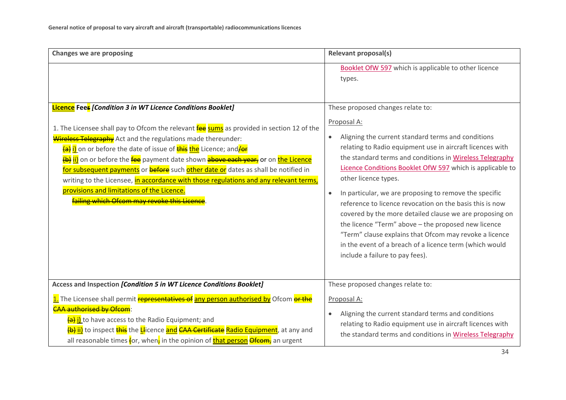| <b>Changes we are proposing</b>                                                                                                                                                                                                                                                                                                                                                                                                                                                                                                                                                                                                                                                                | <b>Relevant proposal(s)</b>                                                                                                                                                                                                                                                                                                                                                                                                                                                                                                                                                                                                                                                                                                                    |
|------------------------------------------------------------------------------------------------------------------------------------------------------------------------------------------------------------------------------------------------------------------------------------------------------------------------------------------------------------------------------------------------------------------------------------------------------------------------------------------------------------------------------------------------------------------------------------------------------------------------------------------------------------------------------------------------|------------------------------------------------------------------------------------------------------------------------------------------------------------------------------------------------------------------------------------------------------------------------------------------------------------------------------------------------------------------------------------------------------------------------------------------------------------------------------------------------------------------------------------------------------------------------------------------------------------------------------------------------------------------------------------------------------------------------------------------------|
|                                                                                                                                                                                                                                                                                                                                                                                                                                                                                                                                                                                                                                                                                                | Booklet OfW 597 which is applicable to other licence<br>types.                                                                                                                                                                                                                                                                                                                                                                                                                                                                                                                                                                                                                                                                                 |
| <b>Licence</b> Fees [Condition 3 in WT Licence Conditions Booklet]<br>1. The Licensee shall pay to Ofcom the relevant <b>fee sums</b> as provided in section 12 of the<br>Wireless Telegraphy Act and the regulations made thereunder:<br>(a) i) on or before the date of issue of this the Licence; and <i>je</i> r<br>(b) ii) on or before the fee payment date shown above each year, or on the Licence<br>for subsequent payments or <b>before</b> such other date or dates as shall be notified in<br>writing to the Licensee, in accordance with those regulations and any relevant terms,<br>provisions and limitations of the Licence.<br>failing which Ofcom may revoke this Licence. | These proposed changes relate to:<br>Proposal A:<br>Aligning the current standard terms and conditions<br>$\bullet$<br>relating to Radio equipment use in aircraft licences with<br>the standard terms and conditions in Wireless Telegraphy<br>Licence Conditions Booklet OfW 597 which is applicable to<br>other licence types.<br>In particular, we are proposing to remove the specific<br>$\bullet$<br>reference to licence revocation on the basis this is now<br>covered by the more detailed clause we are proposing on<br>the licence "Term" above - the proposed new licence<br>"Term" clause explains that Ofcom may revoke a licence<br>in the event of a breach of a licence term (which would<br>include a failure to pay fees). |
| Access and Inspection [Condition 5 in WT Licence Conditions Booklet]                                                                                                                                                                                                                                                                                                                                                                                                                                                                                                                                                                                                                           | These proposed changes relate to:                                                                                                                                                                                                                                                                                                                                                                                                                                                                                                                                                                                                                                                                                                              |
| 1. The Licensee shall permit representatives of any person authorised by Ofcom or the<br><b>CAA authorised by Ofcom:</b><br>(a) i) to have access to the Radio Equipment; and<br><mark>(b) <u>ii)</u></mark> to inspect <mark>this</mark> the <mark>Ll</mark> icence and CAA Certificate Radio Equipment, at any and<br>all reasonable times for, when, in the opinion of that person Ofcom, an urgent                                                                                                                                                                                                                                                                                         | Proposal A:<br>Aligning the current standard terms and conditions<br>$\bullet$<br>relating to Radio equipment use in aircraft licences with<br>the standard terms and conditions in Wireless Telegraphy                                                                                                                                                                                                                                                                                                                                                                                                                                                                                                                                        |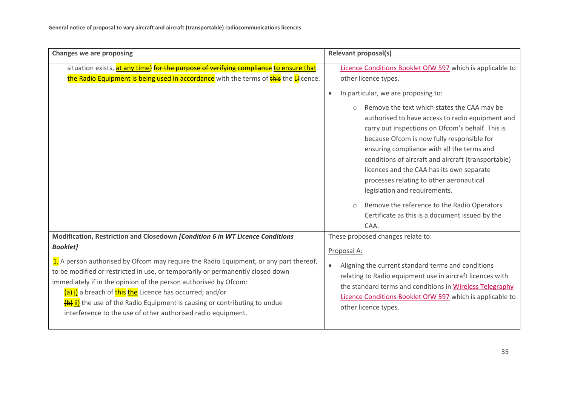| <b>Changes we are proposing</b>                                                                                                                                                                                                                                                                                                                 | <b>Relevant proposal(s)</b>                                                                                                                                                                                                                                                                                                                                                                                                                                                                                                                                                                                          |  |  |
|-------------------------------------------------------------------------------------------------------------------------------------------------------------------------------------------------------------------------------------------------------------------------------------------------------------------------------------------------|----------------------------------------------------------------------------------------------------------------------------------------------------------------------------------------------------------------------------------------------------------------------------------------------------------------------------------------------------------------------------------------------------------------------------------------------------------------------------------------------------------------------------------------------------------------------------------------------------------------------|--|--|
| situation exists, at any time) for the purpose of verifying compliance to ensure that<br>the Radio Equipment is being used in accordance with the terms of this the Llicence.                                                                                                                                                                   | Licence Conditions Booklet OfW 597 which is applicable to<br>other licence types.                                                                                                                                                                                                                                                                                                                                                                                                                                                                                                                                    |  |  |
|                                                                                                                                                                                                                                                                                                                                                 | In particular, we are proposing to:<br>$\bullet$<br>Remove the text which states the CAA may be<br>$\circ$<br>authorised to have access to radio equipment and<br>carry out inspections on Ofcom's behalf. This is<br>because Ofcom is now fully responsible for<br>ensuring compliance with all the terms and<br>conditions of aircraft and aircraft (transportable)<br>licences and the CAA has its own separate<br>processes relating to other aeronautical<br>legislation and requirements.<br>Remove the reference to the Radio Operators<br>$\circ$<br>Certificate as this is a document issued by the<br>CAA. |  |  |
| Modification, Restriction and Closedown [Condition 6 in WT Licence Conditions<br><b>Booklet]</b><br>1. A person authorised by Ofcom may require the Radio Equipment, or any part thereof,<br>to be modified or restricted in use, or temporarily or permanently closed down<br>immediately if in the opinion of the person authorised by Ofcom: | These proposed changes relate to:<br>Proposal A:<br>Aligning the current standard terms and conditions<br>relating to Radio equipment use in aircraft licences with                                                                                                                                                                                                                                                                                                                                                                                                                                                  |  |  |
| (a) i) a breach of this the Licence has occurred; and/or<br>(b) ii) the use of the Radio Equipment is causing or contributing to undue<br>interference to the use of other authorised radio equipment.                                                                                                                                          | the standard terms and conditions in Wireless Telegraphy<br>Licence Conditions Booklet OfW 597 which is applicable to<br>other licence types.                                                                                                                                                                                                                                                                                                                                                                                                                                                                        |  |  |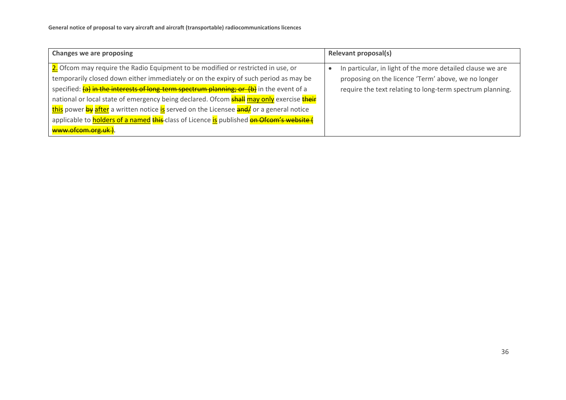| <b>Changes we are proposing</b>                                                                         |  | Relevant proposal(s)                                       |  |
|---------------------------------------------------------------------------------------------------------|--|------------------------------------------------------------|--|
| 2. Ofcom may require the Radio Equipment to be modified or restricted in use, or                        |  | In particular, in light of the more detailed clause we are |  |
| temporarily closed down either immediately or on the expiry of such period as may be                    |  | proposing on the licence 'Term' above, we no longer        |  |
| specified: (a) in the interests of long-term spectrum planning; or (b) in the event of a                |  | require the text relating to long-term spectrum planning.  |  |
| national or local state of emergency being declared. Ofcom <b>shall may only</b> exercise <b>their</b>  |  |                                                            |  |
| this power by after a written notice is served on the Licensee and/ or a general notice                 |  |                                                            |  |
| applicable to <b>holders of a named this-</b> class of Licence is published <b>on Ofcom's website (</b> |  |                                                            |  |
| www.ofcom.org.uk).                                                                                      |  |                                                            |  |